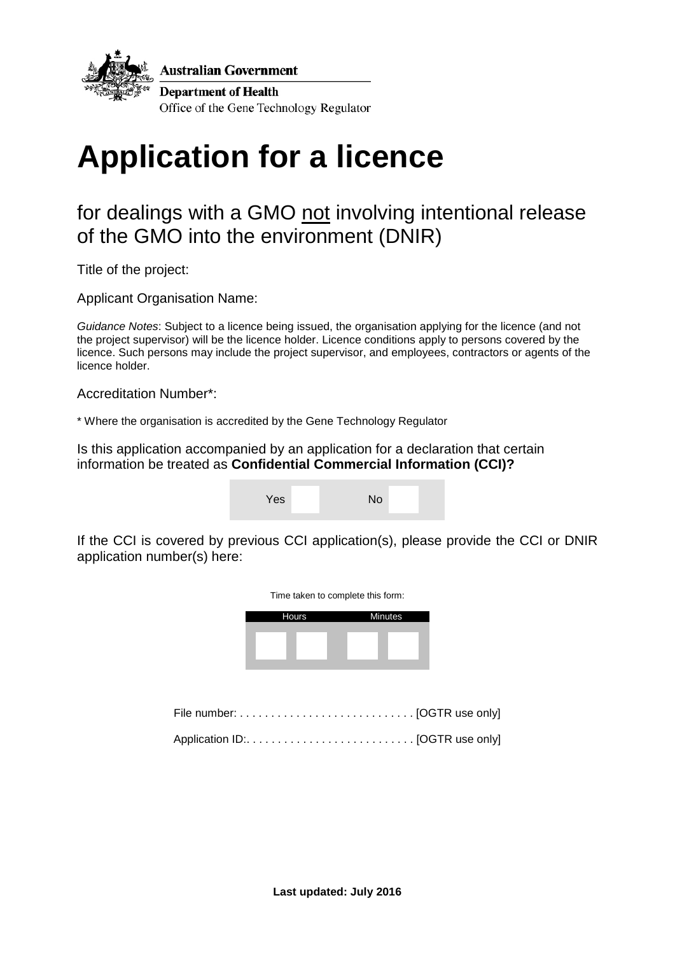

**Australian Government** 

**Department of Health** Office of the Gene Technology Regulator

# **Application for a licence**

### for dealings with a GMO not involving intentional release of the GMO into the environment (DNIR)

Title of the project:

Applicant Organisation Name:

*Guidance Notes*: Subject to a licence being issued, the organisation applying for the licence (and not the project supervisor) will be the licence holder. Licence conditions apply to persons covered by the licence. Such persons may include the project supervisor, and employees, contractors or agents of the licence holder.

Accreditation Number\*:

\* Where the organisation is accredited by the Gene Technology Regulator

Is this application accompanied by an application for a declaration that certain information be treated as **Confidential Commercial Information (CCI)?**

| Yes | No |  |
|-----|----|--|
|     |    |  |

If the CCI is covered by previous CCI application(s), please provide the CCI or DNIR application number(s) here:

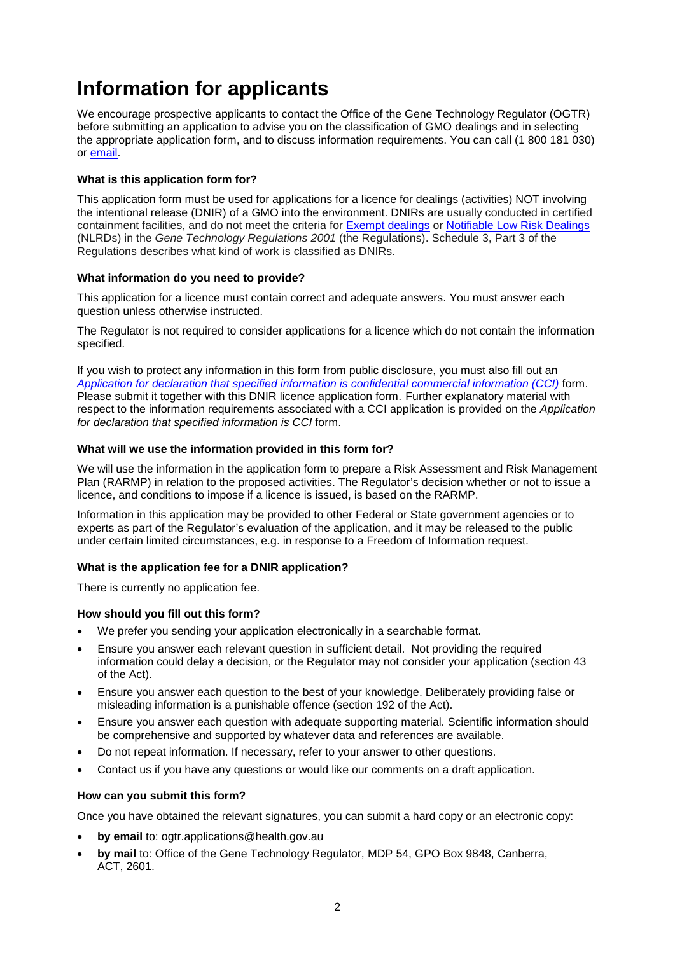# **Information for applicants**

We encourage prospective applicants to contact the Office of the Gene Technology Regulator (OGTR) before submitting an application to advise you on the classification of GMO dealings and in selecting the appropriate application form, and to discuss information requirements. You can call (1 800 181 030) or [email.](mailto:ogtr@health.gov.au)

#### **What is this application form for?**

This application form must be used for applications for a licence for dealings (activities) NOT involving the intentional release (DNIR) of a GMO into the environment. DNIRs are usually conducted in certified containment facilities, and do not meet the criteria for [Exempt dealings](http://www.ogtr.gov.au/internet/ogtr/publishing.nsf/Content/exemptdealclass-2) or [Notifiable Low Risk Dealings](http://www.ogtr.gov.au/internet/ogtr/publishing.nsf/Content/nlrdclass-2) (NLRDs) in the *Gene Technology Regulations 2001* (the Regulations). Schedule 3, Part 3 of the Regulations describes what kind of work is classified as DNIRs.

#### **What information do you need to provide?**

This application for a licence must contain correct and adequate answers. You must answer each question unless otherwise instructed.

The Regulator is not required to consider applications for a licence which do not contain the information specified.

If you wish to protect any information in this form from public disclosure, you must also fill out an *[Application for declaration that specified information is confidential commercial information \(CCI\)](http://www.ogtr.gov.au/internet/ogtr/publishing.nsf/Content/apps-for-gmo)* form. Please submit it together with this DNIR licence application form. Further explanatory material with respect to the information requirements associated with a CCI application is provided on the *Application for declaration that specified information is CCI* form.

#### **What will we use the information provided in this form for?**

We will use the information in the application form to prepare a Risk Assessment and Risk Management Plan (RARMP) in relation to the proposed activities. The Regulator's decision whether or not to issue a licence, and conditions to impose if a licence is issued, is based on the RARMP.

Information in this application may be provided to other Federal or State government agencies or to experts as part of the Regulator's evaluation of the application, and it may be released to the public under certain limited circumstances, e.g. in response to a Freedom of Information request.

#### **What is the application fee for a DNIR application?**

There is currently no application fee.

#### **How should you fill out this form?**

- We prefer you sending your application electronically in a searchable format.
- Ensure you answer each relevant question in sufficient detail. Not providing the required information could delay a decision, or the Regulator may not consider your application (section 43 of the Act).
- Ensure you answer each question to the best of your knowledge. Deliberately providing false or misleading information is a punishable offence (section 192 of the Act).
- Ensure you answer each question with adequate supporting material. Scientific information should be comprehensive and supported by whatever data and references are available.
- Do not repeat information. If necessary, refer to your answer to other questions.
- Contact us if you have any questions or would like our comments on a draft application.

#### **How can you submit this form?**

Once you have obtained the relevant signatures, you can submit a hard copy or an electronic copy:

- **by email** to: [ogtr.applications@health.gov.au](mailto:ogtr.applications@health.gov.au)
- **by mail** to: Office of the Gene Technology Regulator, MDP 54, GPO Box 9848, Canberra, ACT, 2601.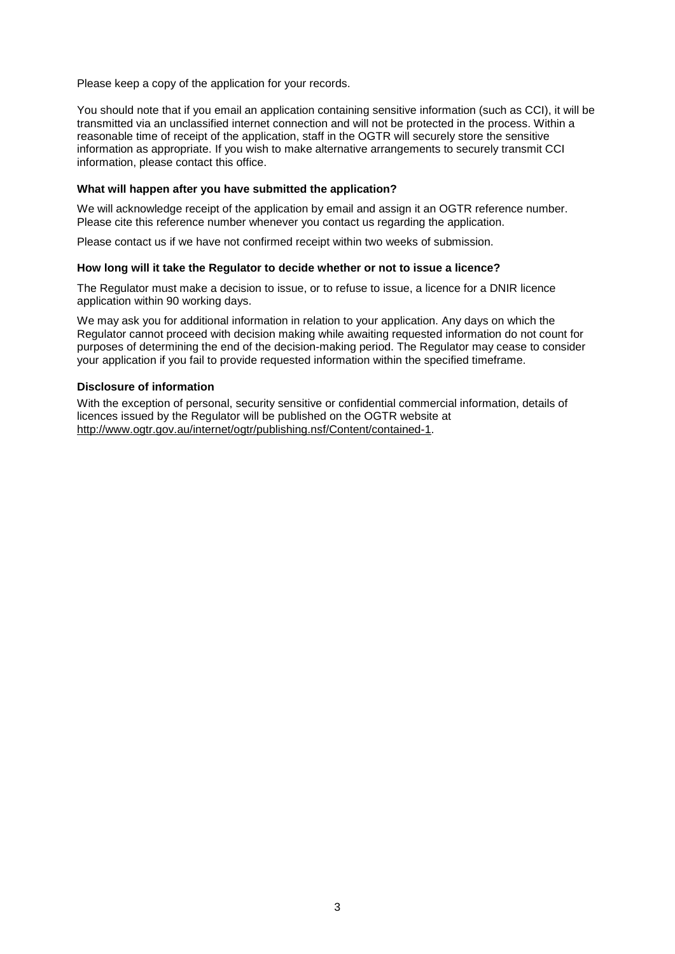Please keep a copy of the application for your records.

You should note that if you email an application containing sensitive information (such as CCI), it will be transmitted via an unclassified internet connection and will not be protected in the process. Within a reasonable time of receipt of the application, staff in the OGTR will securely store the sensitive information as appropriate. If you wish to make alternative arrangements to securely transmit CCI information, please contact this office.

#### **What will happen after you have submitted the application?**

We will acknowledge receipt of the application by email and assign it an OGTR reference number. Please cite this reference number whenever you contact us regarding the application.

Please contact us if we have not confirmed receipt within two weeks of submission.

#### **How long will it take the Regulator to decide whether or not to issue a licence?**

The Regulator must make a decision to issue, or to refuse to issue, a licence for a DNIR licence application within 90 working days.

We may ask you for additional information in relation to your application. Any days on which the Regulator cannot proceed with decision making while awaiting requested information do not count for purposes of determining the end of the decision-making period. The Regulator may cease to consider your application if you fail to provide requested information within the specified timeframe.

#### **Disclosure of information**

With the exception of personal, security sensitive or confidential commercial information, details of licences issued by the Regulator will be published on the OGTR website at [http://www.ogtr.gov.au/internet/ogtr/publishing.nsf/Content/contained-1.](http://www.ogtr.gov.au/internet/ogtr/publishing.nsf/Content/contained-1)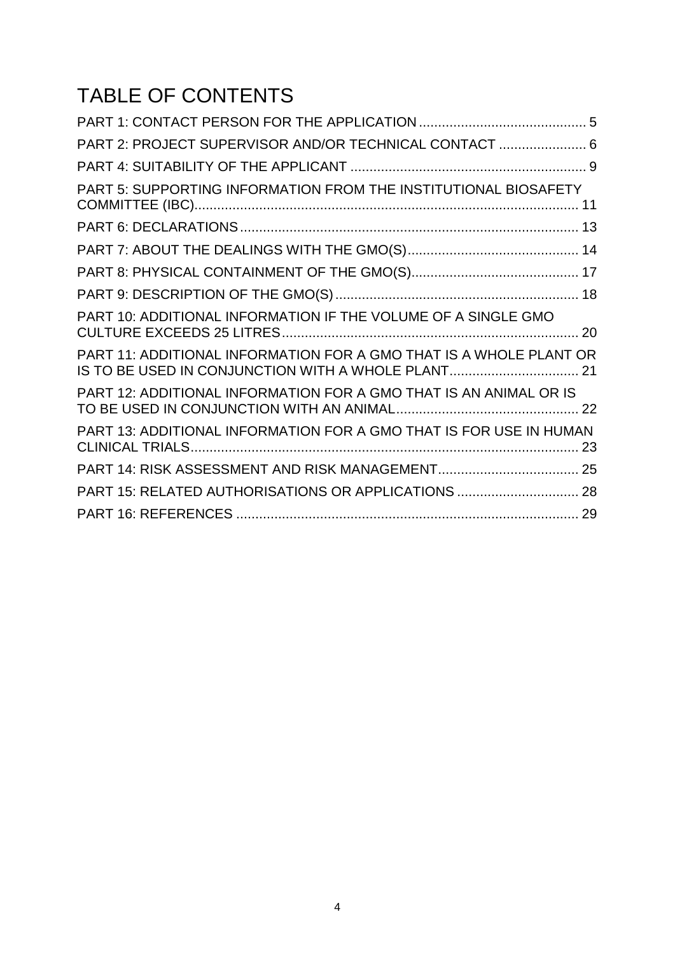# TABLE OF CONTENTS

| PART 2: PROJECT SUPERVISOR AND/OR TECHNICAL CONTACT  6                                                                   |  |
|--------------------------------------------------------------------------------------------------------------------------|--|
|                                                                                                                          |  |
| PART 5: SUPPORTING INFORMATION FROM THE INSTITUTIONAL BIOSAFETY                                                          |  |
|                                                                                                                          |  |
|                                                                                                                          |  |
|                                                                                                                          |  |
|                                                                                                                          |  |
| PART 10: ADDITIONAL INFORMATION IF THE VOLUME OF A SINGLE GMO                                                            |  |
| PART 11: ADDITIONAL INFORMATION FOR A GMO THAT IS A WHOLE PLANT OR<br>IS TO BE USED IN CONJUNCTION WITH A WHOLE PLANT 21 |  |
| PART 12: ADDITIONAL INFORMATION FOR A GMO THAT IS AN ANIMAL OR IS                                                        |  |
| PART 13: ADDITIONAL INFORMATION FOR A GMO THAT IS FOR USE IN HUMAN                                                       |  |
|                                                                                                                          |  |
| PART 15: RELATED AUTHORISATIONS OR APPLICATIONS  28                                                                      |  |
|                                                                                                                          |  |
|                                                                                                                          |  |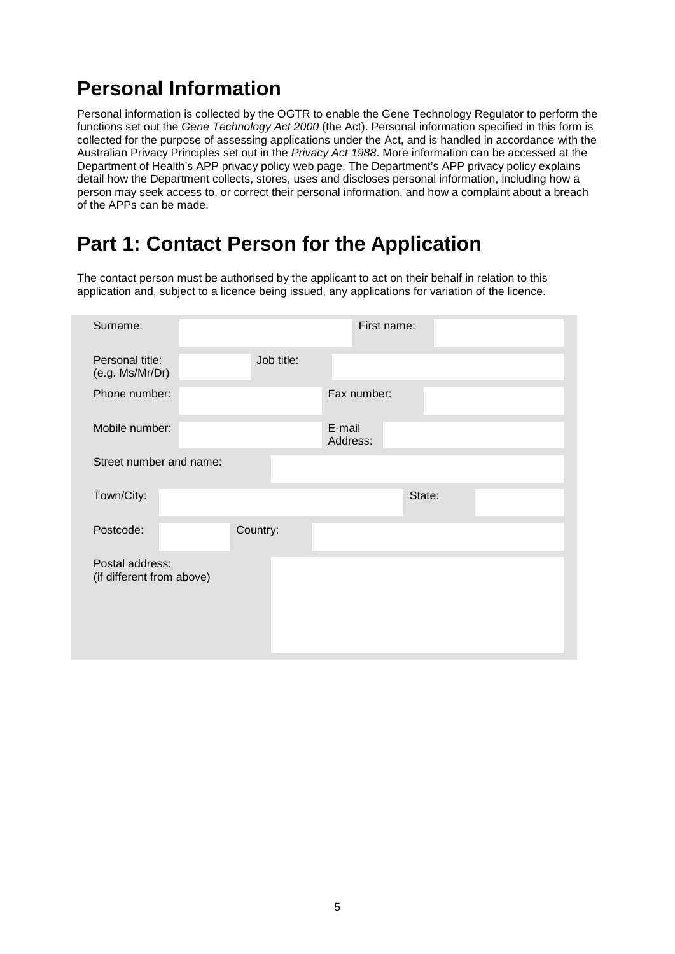# <span id="page-4-0"></span>**Personal Information**

Personal information is collected by the OGTR to enable the Gene Technology Regulator to perform the functions set out the *Gene Technology Act 2000* (the Act). Personal information specified in this form is collected for the purpose of assessing applications under the Act, and is handled in accordance with the Australian Privacy Principles set out in the *Privacy Act 1988*. More information can be accessed at the Department of Health's [APP privacy policy web page.](http://www.health.gov.au/internet/main/publishing.nsf/Content/privacy-policy) The Department's APP privacy policy explains detail how the Department collects, stores, uses and discloses personal information, including how a person may seek access to, or correct their personal information, and how a complaint about a breach of the APPs can be made.

# **Part 1: Contact Person for the Application**

The contact person must be authorised by the applicant to act on their behalf in relation to this application and, subject to a licence being issued, any applications for variation of the licence.

| Surname:                                     |            | First name:        |
|----------------------------------------------|------------|--------------------|
| Personal title:<br>(e.g. Ms/Mr/Dr)           | Job title: |                    |
| Phone number:                                |            | Fax number:        |
| Mobile number:                               |            | E-mail<br>Address: |
| Street number and name:                      |            |                    |
| Town/City:                                   |            | State:             |
| Postcode:                                    | Country:   |                    |
| Postal address:<br>(if different from above) |            |                    |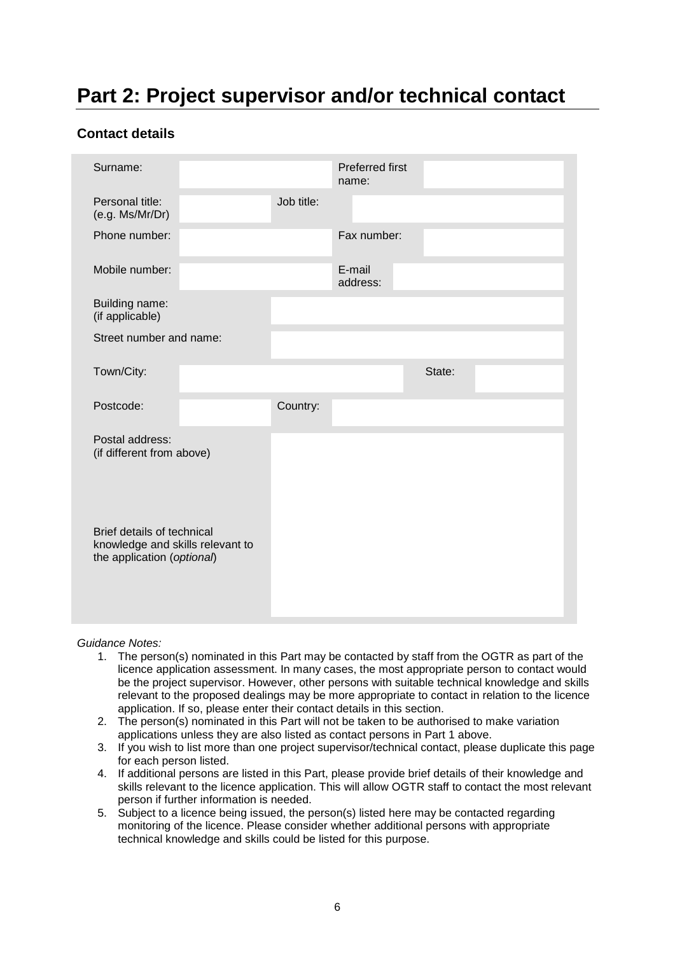# <span id="page-5-0"></span>**Part 2: Project supervisor and/or technical contact**

#### **Contact details**

| Surname:                                                                                     |            | <b>Preferred first</b><br>name: |        |  |
|----------------------------------------------------------------------------------------------|------------|---------------------------------|--------|--|
| Personal title:<br>(e.g. Ms/Mr/Dr)                                                           | Job title: |                                 |        |  |
| Phone number:                                                                                |            | Fax number:                     |        |  |
| Mobile number:                                                                               |            | E-mail<br>address:              |        |  |
| Building name:<br>(if applicable)                                                            |            |                                 |        |  |
| Street number and name:                                                                      |            |                                 |        |  |
| Town/City:                                                                                   |            |                                 | State: |  |
| Postcode:                                                                                    | Country:   |                                 |        |  |
| Postal address:<br>(if different from above)                                                 |            |                                 |        |  |
| Brief details of technical<br>knowledge and skills relevant to<br>the application (optional) |            |                                 |        |  |

*Guidance Notes:*

- 1. The person(s) nominated in this Part may be contacted by staff from the OGTR as part of the licence application assessment. In many cases, the most appropriate person to contact would be the project supervisor. However, other persons with suitable technical knowledge and skills relevant to the proposed dealings may be more appropriate to contact in relation to the licence application. If so, please enter their contact details in this section.
- 2. The person(s) nominated in this Part will not be taken to be authorised to make variation applications unless they are also listed as contact persons in Part 1 above.
- 3. If you wish to list more than one project supervisor/technical contact, please duplicate this page for each person listed.
- 4. If additional persons are listed in this Part, please provide brief details of their knowledge and skills relevant to the licence application. This will allow OGTR staff to contact the most relevant person if further information is needed.
- 5. Subject to a licence being issued, the person(s) listed here may be contacted regarding monitoring of the licence. Please consider whether additional persons with appropriate technical knowledge and skills could be listed for this purpose.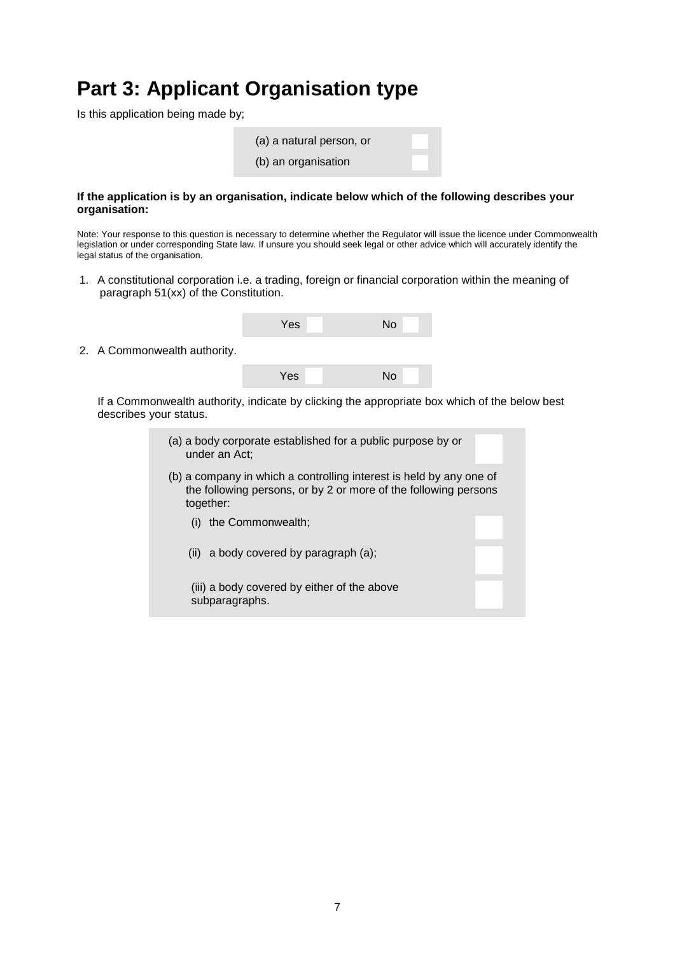### **Part 3: Applicant Organisation type**

Is this application being made by;

| (a) a natural person, or |  |
|--------------------------|--|
| (b) an organisation      |  |

#### **If the application is by an organisation, indicate below which of the following describes your organisation:**

Note: Your response to this question is necessary to determine whether the Regulator will issue the licence under Commonwealth legislation or under corresponding State law. If unsure you should seek legal or other advice which will accurately identify the legal status of the organisation.

1. A constitutional corporation i.e. a trading, foreign or financial corporation within the meaning of paragraph 51(xx) of the Constitution.

|                              | Yes | No                                                                                            |  |
|------------------------------|-----|-----------------------------------------------------------------------------------------------|--|
| 2. A Commonwealth authority. |     |                                                                                               |  |
|                              | Yes | N <sub>o</sub>                                                                                |  |
| describes your status.       |     | If a Commonwealth authority, indicate by clicking the appropriate box which of the below best |  |

subparagraphs.

(a) a body corporate established for a public purpose by or under an Act; (b) a company in which a controlling interest is held by any one of the following persons, or by 2 or more of the following persons together: (i) the Commonwealth; (ii) a body covered by paragraph (a); (iii) a body covered by either of the above

7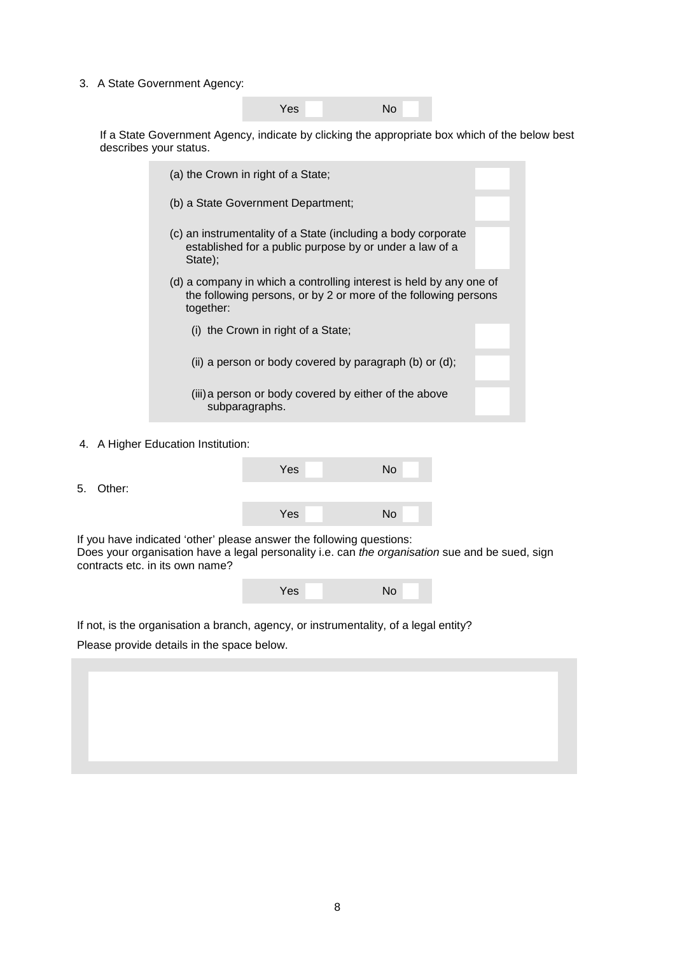3. A State Government Agency:

Yes No

If a State Government Agency, indicate by clicking the appropriate box which of the below best describes your status.

| (a) the Crown in right of a State;                                                                                                                  |
|-----------------------------------------------------------------------------------------------------------------------------------------------------|
| (b) a State Government Department;                                                                                                                  |
| (c) an instrumentality of a State (including a body corporate<br>established for a public purpose by or under a law of a<br>State):                 |
| (d) a company in which a controlling interest is held by any one of<br>the following persons, or by 2 or more of the following persons<br>together: |
| (i) the Crown in right of a State;                                                                                                                  |
| (ii) a person or body covered by paragraph (b) or (d);                                                                                              |
| (iii) a person or body covered by either of the above<br>subparagraphs.                                                                             |

4. A Higher Education Institution:

5. Other:

| Yes | No        |
|-----|-----------|
|     |           |
| Yes | <b>No</b> |

If you have indicated 'other' please answer the following questions: Does your organisation have a legal personality i.e. can *the organisation* sue and be sued, sign contracts etc. in its own name?

| Yes | <b>No</b> |
|-----|-----------|
|     |           |

If not, is the organisation a branch, agency, or instrumentality, of a legal entity?

Please provide details in the space below.

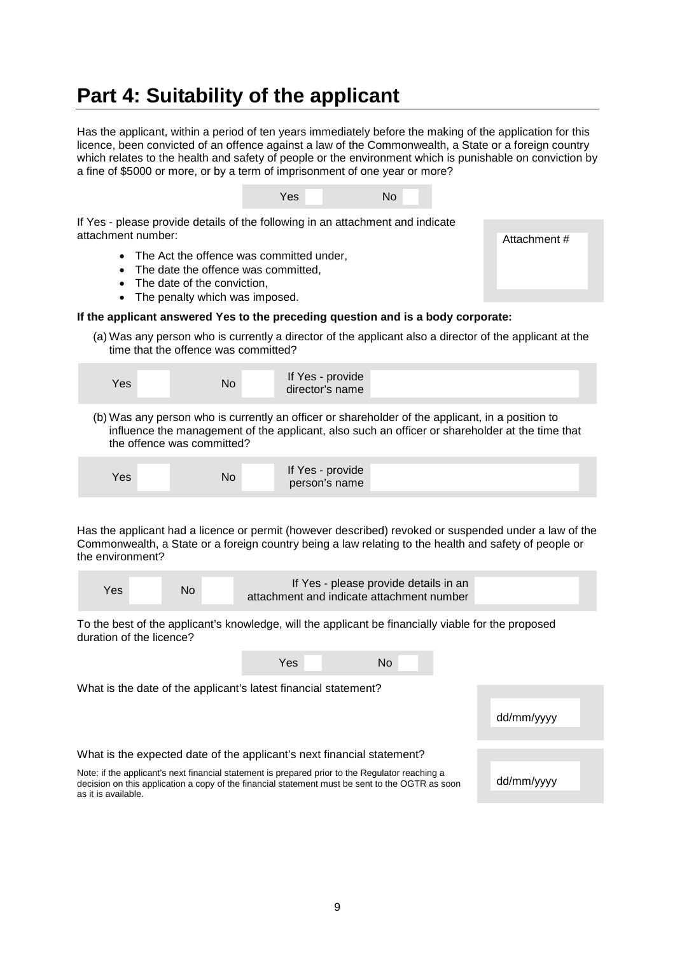### <span id="page-8-0"></span>**Part 4: Suitability of the applicant**

Has the applicant, within a period of ten years immediately before the making of the application for this licence, been convicted of an offence against a law of the Commonwealth, a State or a foreign country which relates to the health and safety of people or the environment which is punishable on conviction by a fine of \$5000 or more, or by a term of imprisonment of one year or more?



If Yes - please provide details of the following in an attachment and indicate attachment number:

- The Act the offence was committed under,
- The date the offence was committed.
- The date of the conviction.
- The penalty which was imposed.

#### **If the applicant answered Yes to the preceding question and is a body corporate:**

(a) Was any person who is currently a director of the applicant also a director of the applicant at the time that the offence was committed?

| Yes | If Yes - provide |
|-----|------------------|
| No  | director's name  |

(b) Was any person who is currently an officer or shareholder of the applicant, in a position to influence the management of the applicant, also such an officer or shareholder at the time that the offence was committed?

| Yes | If Yes - provide |
|-----|------------------|
| No  | person's name    |

Has the applicant had a licence or permit (however described) revoked or suspended under a law of the Commonwealth, a State or a foreign country being a law relating to the health and safety of people or the environment?

| If Yes - please provide details in an<br>No<br>Yes:<br>attachment and indicate attachment number |
|--------------------------------------------------------------------------------------------------|
|--------------------------------------------------------------------------------------------------|

To the best of the applicant's knowledge, will the applicant be financially viable for the proposed duration of the licence?

| Yes<br>No.                                                                                                                                                                                                                |            |
|---------------------------------------------------------------------------------------------------------------------------------------------------------------------------------------------------------------------------|------------|
| What is the date of the applicant's latest financial statement?                                                                                                                                                           |            |
|                                                                                                                                                                                                                           | dd/mm/yyyy |
| What is the expected date of the applicant's next financial statement?                                                                                                                                                    |            |
| Note: if the applicant's next financial statement is prepared prior to the Regulator reaching a<br>decision on this application a copy of the financial statement must be sent to the OGTR as soon<br>as it is available. | dd/mm/yyyy |

Attachment #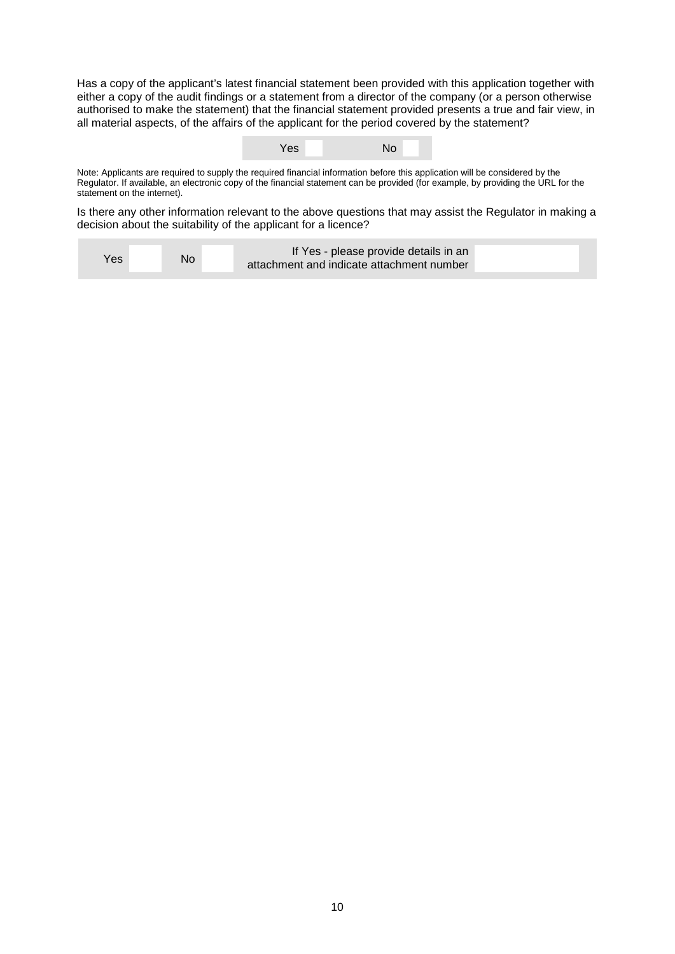Has a copy of the applicant's latest financial statement been provided with this application together with either a copy of the audit findings or a statement from a director of the company (or a person otherwise authorised to make the statement) that the financial statement provided presents a true and fair view, in all material aspects, of the affairs of the applicant for the period covered by the statement?

| No |
|----|
|----|

Note: Applicants are required to supply the required financial information before this application will be considered by the Regulator. If available, an electronic copy of the financial statement can be provided (for example, by providing the URL for the statement on the internet).

Is there any other information relevant to the above questions that may assist the Regulator in making a decision about the suitability of the applicant for a licence?

| If Yes - please provide details in an<br>No<br>Yes<br>attachment and indicate attachment number |  |
|-------------------------------------------------------------------------------------------------|--|
|-------------------------------------------------------------------------------------------------|--|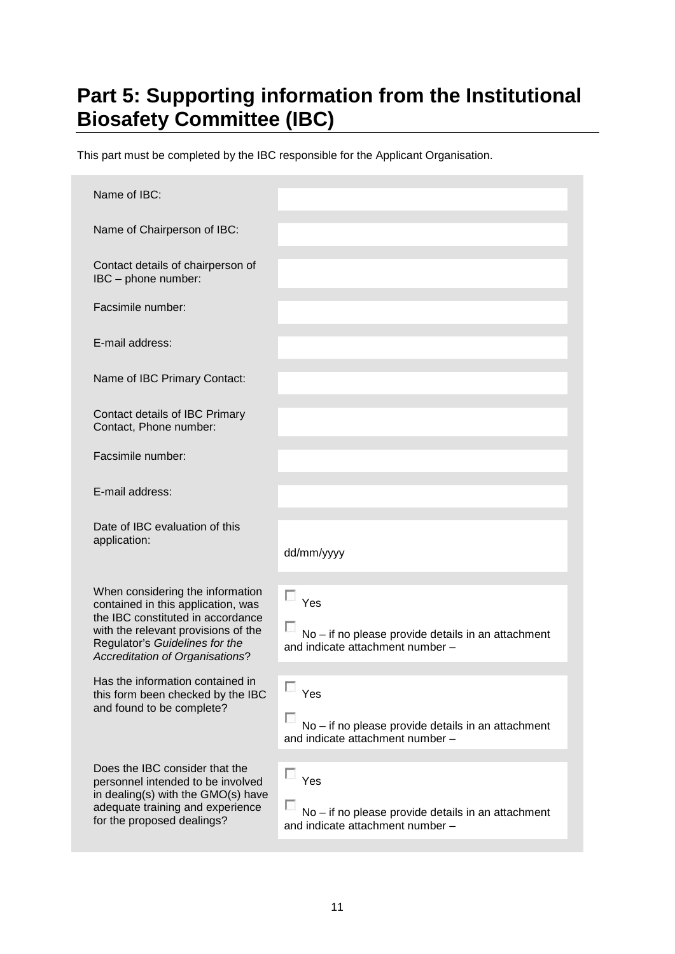# <span id="page-10-0"></span>**Part 5: Supporting information from the Institutional Biosafety Committee (IBC)**

This part must be completed by the IBC responsible for the Applicant Organisation.

| Name of IBC:                                                                                                                                                                                                                   |                                                                                                         |
|--------------------------------------------------------------------------------------------------------------------------------------------------------------------------------------------------------------------------------|---------------------------------------------------------------------------------------------------------|
| Name of Chairperson of IBC:                                                                                                                                                                                                    |                                                                                                         |
| Contact details of chairperson of<br>IBC - phone number:                                                                                                                                                                       |                                                                                                         |
| Facsimile number:                                                                                                                                                                                                              |                                                                                                         |
| E-mail address:                                                                                                                                                                                                                |                                                                                                         |
| Name of IBC Primary Contact:                                                                                                                                                                                                   |                                                                                                         |
| Contact details of IBC Primary<br>Contact, Phone number:                                                                                                                                                                       |                                                                                                         |
| Facsimile number:                                                                                                                                                                                                              |                                                                                                         |
| E-mail address:                                                                                                                                                                                                                |                                                                                                         |
| Date of IBC evaluation of this<br>application:                                                                                                                                                                                 | dd/mm/yyyy                                                                                              |
| When considering the information<br>contained in this application, was<br>the IBC constituted in accordance<br>with the relevant provisions of the<br>Regulator's Guidelines for the<br><b>Accreditation of Organisations?</b> | п<br>Yes<br>No - if no please provide details in an attachment<br>and indicate attachment number -      |
| Has the information contained in<br>this form been checked by the IBC<br>and found to be complete?                                                                                                                             | П<br>Yes<br>No - if no please provide details in an attachment<br>and indicate attachment number -      |
| Does the IBC consider that the<br>personnel intended to be involved<br>in dealing(s) with the GMO(s) have<br>adequate training and experience<br>for the proposed dealings?                                                    | $\sim$<br>Yes<br>No - if no please provide details in an attachment<br>and indicate attachment number - |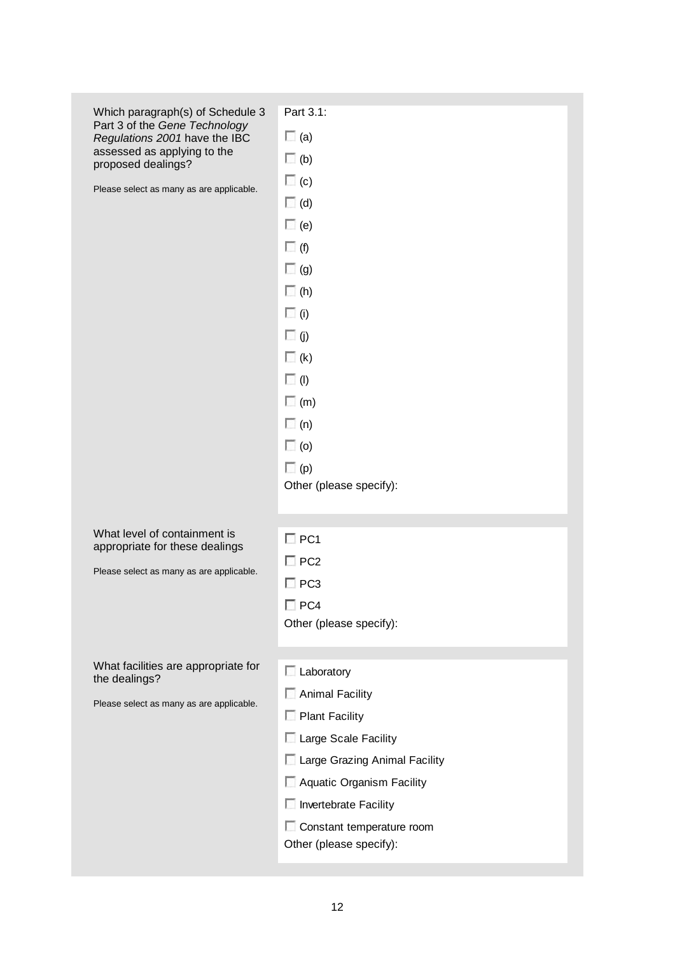| Which paragraph(s) of Schedule 3                               | Part 3.1:                     |
|----------------------------------------------------------------|-------------------------------|
| Part 3 of the Gene Technology<br>Regulations 2001 have the IBC | $\Box$ (a)                    |
| assessed as applying to the<br>proposed dealings?              | $\Box$ (b)                    |
| Please select as many as are applicable.                       | $\Box$ (c)                    |
|                                                                | $\Box$ (d)                    |
|                                                                | $\Box$ (e)                    |
|                                                                | $\Box$ (f)                    |
|                                                                | $\Box$ (g)                    |
|                                                                | $\Box$ (h)                    |
|                                                                | $\Box$ (i)                    |
|                                                                | $\Box$ (j)                    |
|                                                                | $\Box$ (k)                    |
|                                                                | $\Box$ (l)                    |
|                                                                | $\Box$ (m)                    |
|                                                                | $\Box$ (n)                    |
|                                                                | $\Box$ (o)                    |
|                                                                | $\Box$ (p)                    |
|                                                                | Other (please specify):       |
|                                                                |                               |
| What level of containment is<br>appropriate for these dealings | $\Box$ PC1                    |
| Please select as many as are applicable.                       | $\square$ PC2                 |
|                                                                | $\square$ PC3                 |
|                                                                | $\Box$ PC4                    |
|                                                                | Other (please specify):       |
|                                                                |                               |
| What facilities are appropriate for<br>the dealings?           | $\Box$ Laboratory             |
| Please select as many as are applicable.                       | Animal Facility               |
|                                                                | Plant Facility                |
|                                                                | Large Scale Facility          |
|                                                                | Large Grazing Animal Facility |
|                                                                | Aquatic Organism Facility     |
|                                                                | Invertebrate Facility         |
|                                                                | Constant temperature room     |
|                                                                | Other (please specify):       |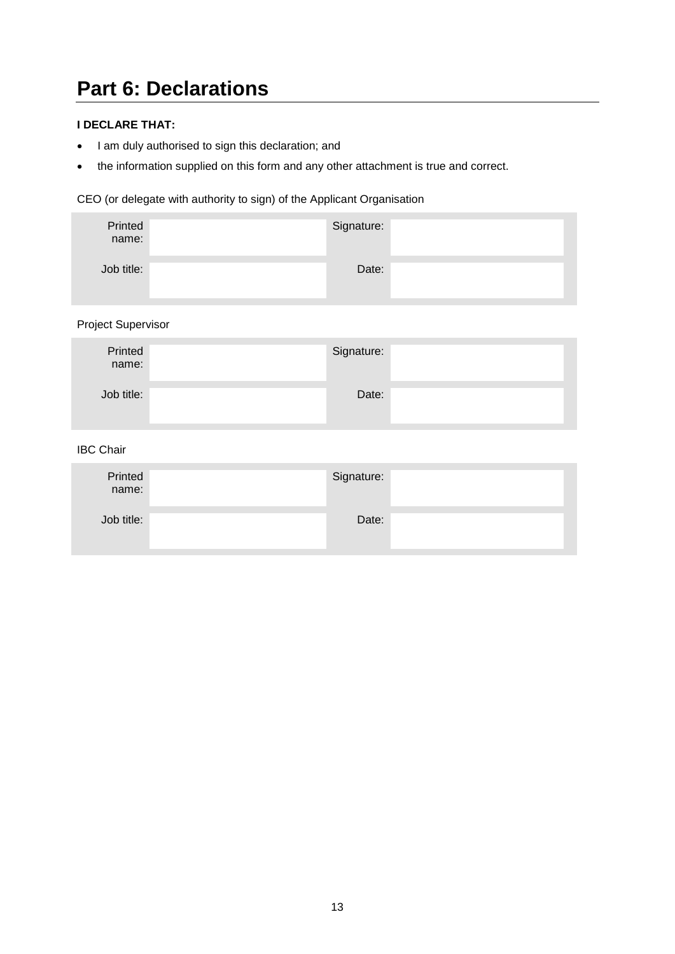# <span id="page-12-0"></span>**Part 6: Declarations**

#### **I DECLARE THAT:**

- I am duly authorised to sign this declaration; and
- the information supplied on this form and any other attachment is true and correct.

#### CEO (or delegate with authority to sign) of the Applicant Organisation

| Printed<br>name: | Signature: |  |
|------------------|------------|--|
| Job title:       | Date:      |  |

Project Supervisor

| Printed<br>name: | Signature: |  |
|------------------|------------|--|
| Job title:       | Date:      |  |

IBC Chair

| Printed<br>name: | Signature: |  |
|------------------|------------|--|
| Job title:       | Date:      |  |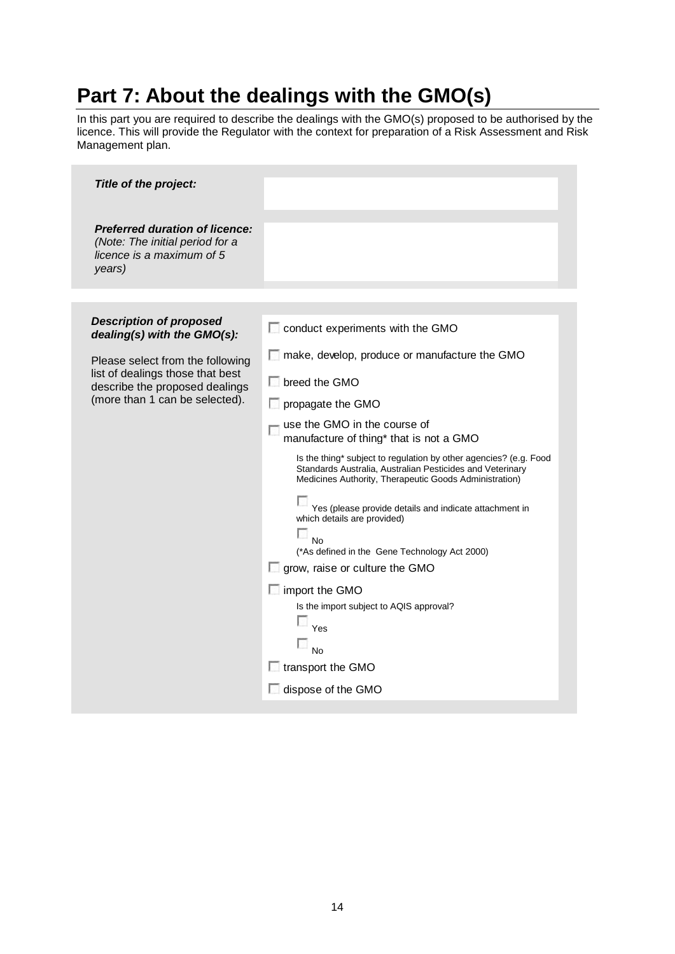# <span id="page-13-0"></span>**Part 7: About the dealings with the GMO(s)**

In this part you are required to describe the dealings with the GMO(s) proposed to be authorised by the licence. This will provide the Regulator with the context for preparation of a Risk Assessment and Risk Management plan.

| Title of the project:                                                                                           |                                                                                                                                                                                          |
|-----------------------------------------------------------------------------------------------------------------|------------------------------------------------------------------------------------------------------------------------------------------------------------------------------------------|
| <b>Preferred duration of licence:</b><br>(Note: The initial period for a<br>licence is a maximum of 5<br>years) |                                                                                                                                                                                          |
|                                                                                                                 |                                                                                                                                                                                          |
| <b>Description of proposed</b><br>dealing(s) with the GMO(s):                                                   | conduct experiments with the GMO                                                                                                                                                         |
| Please select from the following                                                                                | make, develop, produce or manufacture the GMO                                                                                                                                            |
| list of dealings those that best<br>describe the proposed dealings                                              | $\Box$ breed the GMO                                                                                                                                                                     |
| (more than 1 can be selected).                                                                                  | $\Box$ propagate the GMO                                                                                                                                                                 |
|                                                                                                                 | use the GMO in the course of<br>manufacture of thing* that is not a GMO                                                                                                                  |
|                                                                                                                 | Is the thing* subject to regulation by other agencies? (e.g. Food<br>Standards Australia, Australian Pesticides and Veterinary<br>Medicines Authority, Therapeutic Goods Administration) |
|                                                                                                                 | Yes (please provide details and indicate attachment in<br>which details are provided)                                                                                                    |
|                                                                                                                 | o<br>No                                                                                                                                                                                  |
|                                                                                                                 | (*As defined in the Gene Technology Act 2000)                                                                                                                                            |
|                                                                                                                 | $\Box$ grow, raise or culture the GMO                                                                                                                                                    |
|                                                                                                                 | import the GMO<br>Is the import subject to AQIS approval?                                                                                                                                |
|                                                                                                                 | Yes                                                                                                                                                                                      |
|                                                                                                                 |                                                                                                                                                                                          |
|                                                                                                                 | No<br>$\Box$ transport the GMO                                                                                                                                                           |
|                                                                                                                 | dispose of the GMO                                                                                                                                                                       |
|                                                                                                                 |                                                                                                                                                                                          |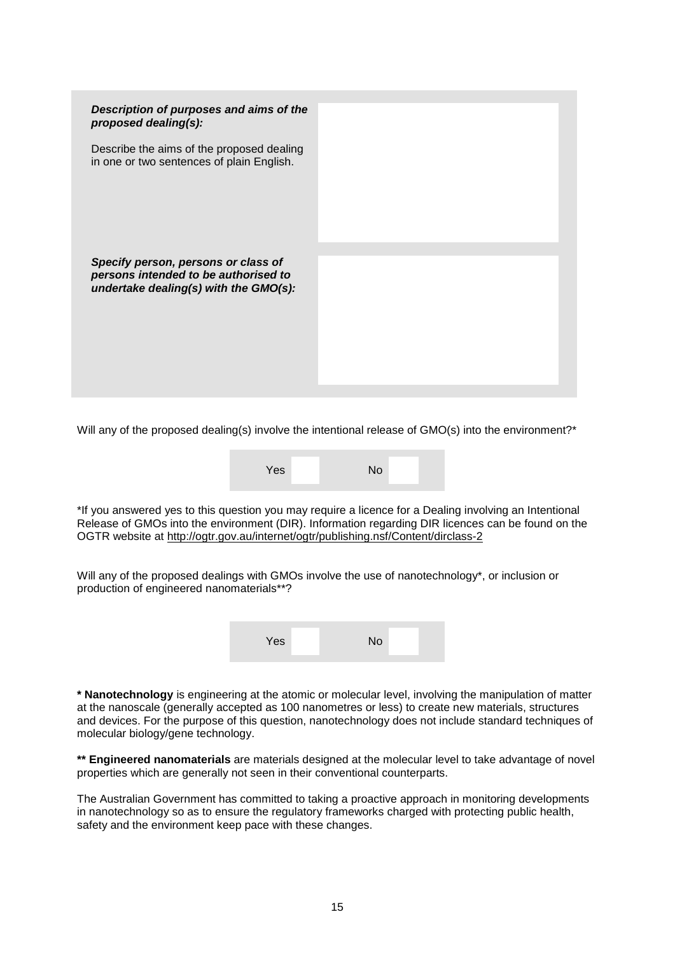

Will any of the proposed dealing(s) involve the intentional release of GMO(s) into the environment?<sup>\*</sup>

| Yes | No |
|-----|----|
|     |    |

\*If you answered yes to this question you may require a licence for a Dealing involving an Intentional Release of GMOs into the environment (DIR). Information regarding DIR licences can be found on the OGTR website at<http://ogtr.gov.au/internet/ogtr/publishing.nsf/Content/dirclass-2>

Will any of the proposed dealings with GMOs involve the use of nanotechnology\*, or inclusion or production of engineered nanomaterials\*\*?

| Yes | No |  |
|-----|----|--|
|-----|----|--|

**\* Nanotechnology** is engineering at the atomic or molecular level, involving the manipulation of matter at the nanoscale (generally accepted as 100 nanometres or less) to create new materials, structures and devices. For the purpose of this question, nanotechnology does not include standard techniques of molecular biology/gene technology.

**\*\* Engineered nanomaterials** are materials designed at the molecular level to take advantage of novel properties which are generally not seen in their conventional counterparts.

The Australian Government has committed to taking a proactive approach in monitoring developments in nanotechnology so as to ensure the regulatory frameworks charged with protecting public health, safety and the environment keep pace with these changes.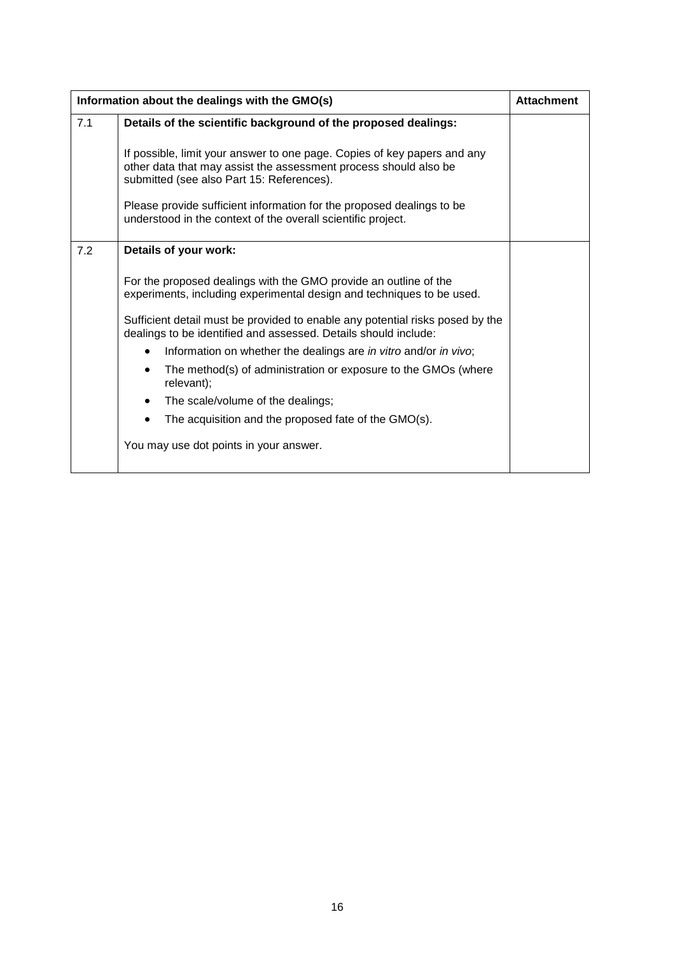|     | Information about the dealings with the GMO(s)                                                                                                                                            |  |  |
|-----|-------------------------------------------------------------------------------------------------------------------------------------------------------------------------------------------|--|--|
| 7.1 | Details of the scientific background of the proposed dealings:                                                                                                                            |  |  |
|     | If possible, limit your answer to one page. Copies of key papers and any<br>other data that may assist the assessment process should also be<br>submitted (see also Part 15: References). |  |  |
|     | Please provide sufficient information for the proposed dealings to be<br>understood in the context of the overall scientific project.                                                     |  |  |
| 7.2 | Details of your work:                                                                                                                                                                     |  |  |
|     | For the proposed dealings with the GMO provide an outline of the<br>experiments, including experimental design and techniques to be used.                                                 |  |  |
|     | Sufficient detail must be provided to enable any potential risks posed by the<br>dealings to be identified and assessed. Details should include:                                          |  |  |
|     | Information on whether the dealings are in vitro and/or in vivo;                                                                                                                          |  |  |
|     | The method(s) of administration or exposure to the GMOs (where<br>relevant);                                                                                                              |  |  |
|     | The scale/volume of the dealings;<br>$\bullet$                                                                                                                                            |  |  |
|     | The acquisition and the proposed fate of the GMO(s).<br>$\bullet$                                                                                                                         |  |  |
|     | You may use dot points in your answer.                                                                                                                                                    |  |  |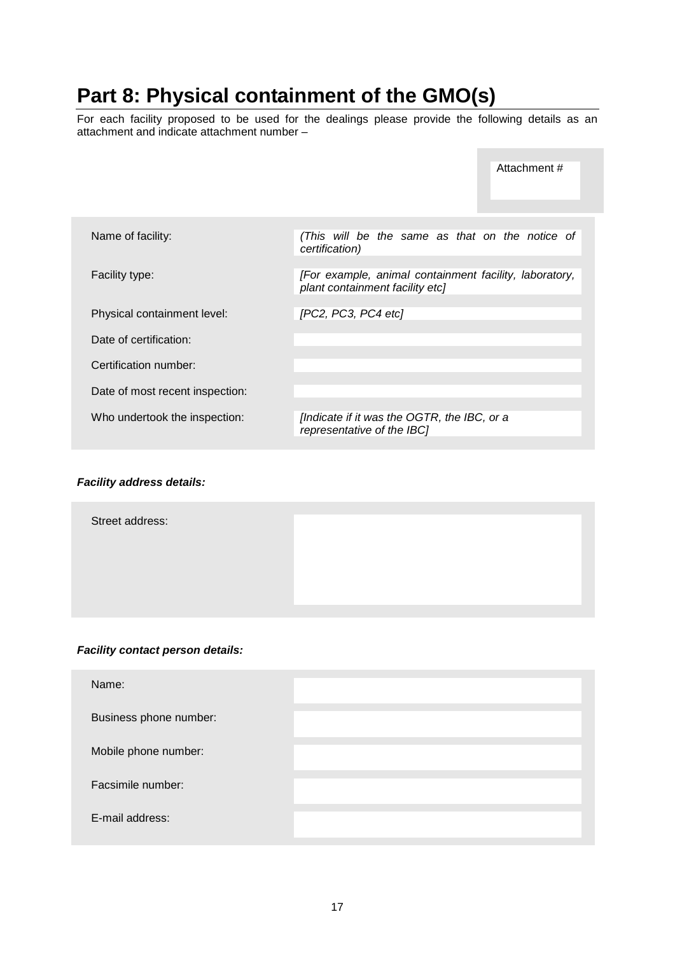# <span id="page-16-0"></span>**Part 8: Physical containment of the GMO(s)**

For each facility proposed to be used for the dealings please provide the following details as an attachment and indicate attachment number –

|                                 |                                                                                           | Attachment # |
|---------------------------------|-------------------------------------------------------------------------------------------|--------------|
|                                 |                                                                                           |              |
| Name of facility:               | (This will be the same as that on the notice of<br>certification)                         |              |
|                                 |                                                                                           |              |
| Facility type:                  | [For example, animal containment facility, laboratory,<br>plant containment facility etc] |              |
|                                 |                                                                                           |              |
| Physical containment level:     | [PC2, PC3, PC4 etc]                                                                       |              |
| Date of certification:          |                                                                                           |              |
| Certification number:           |                                                                                           |              |
| Date of most recent inspection: |                                                                                           |              |
|                                 |                                                                                           |              |
| Who undertook the inspection:   | [Indicate if it was the OGTR, the IBC, or a<br>representative of the IBC]                 |              |
|                                 |                                                                                           |              |

#### *Facility address details:*

Street address:

#### *Facility contact person details:*

| Name:                  |  |
|------------------------|--|
| Business phone number: |  |
| Mobile phone number:   |  |
| Facsimile number:      |  |
| E-mail address:        |  |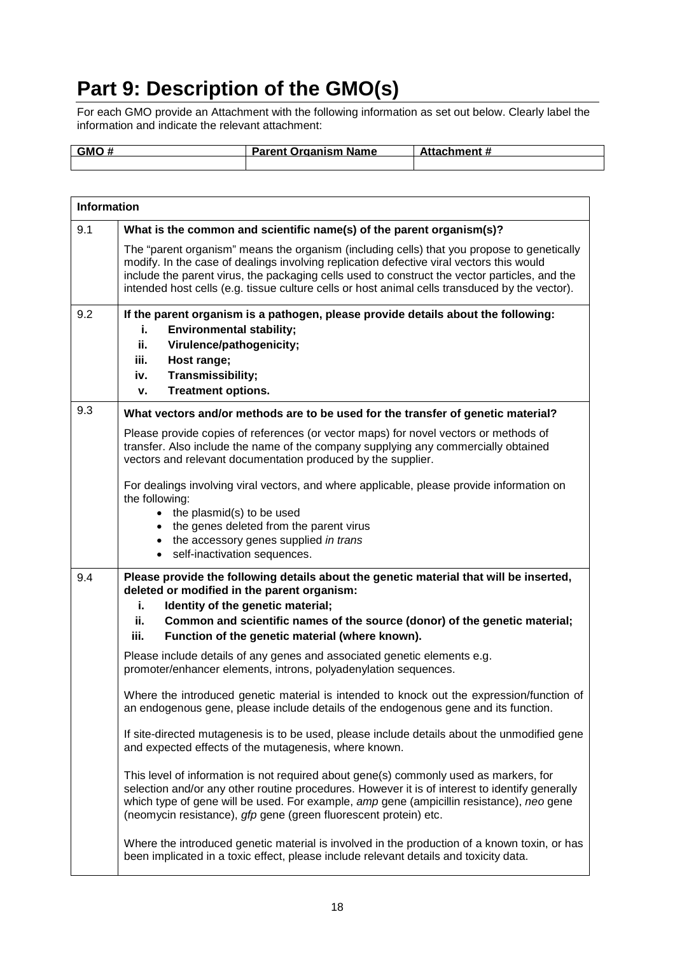# <span id="page-17-0"></span>**Part 9: Description of the GMO(s)**

For each GMO provide an Attachment with the following information as set out below. Clearly label the information and indicate the relevant attachment:

| <b>GMO</b> | <b>Parent Organism Name</b> | <b>Attachment #</b> |
|------------|-----------------------------|---------------------|
|            |                             |                     |
|            |                             |                     |

|                                                                                                                                                                                                                                                                                                                                                         | <b>Information</b>                                                                                                                                                                                                                                                                                                                                                                        |  |  |  |  |
|---------------------------------------------------------------------------------------------------------------------------------------------------------------------------------------------------------------------------------------------------------------------------------------------------------------------------------------------------------|-------------------------------------------------------------------------------------------------------------------------------------------------------------------------------------------------------------------------------------------------------------------------------------------------------------------------------------------------------------------------------------------|--|--|--|--|
| 9.1                                                                                                                                                                                                                                                                                                                                                     | What is the common and scientific name(s) of the parent organism(s)?                                                                                                                                                                                                                                                                                                                      |  |  |  |  |
|                                                                                                                                                                                                                                                                                                                                                         | The "parent organism" means the organism (including cells) that you propose to genetically<br>modify. In the case of dealings involving replication defective viral vectors this would<br>include the parent virus, the packaging cells used to construct the vector particles, and the<br>intended host cells (e.g. tissue culture cells or host animal cells transduced by the vector). |  |  |  |  |
| 9.2                                                                                                                                                                                                                                                                                                                                                     | If the parent organism is a pathogen, please provide details about the following:<br><b>Environmental stability;</b><br>i.<br>ii.<br>Virulence/pathogenicity;<br>iii.<br>Host range;<br>Transmissibility;<br>iv.<br><b>Treatment options.</b><br>۷.                                                                                                                                       |  |  |  |  |
| 9.3                                                                                                                                                                                                                                                                                                                                                     | What vectors and/or methods are to be used for the transfer of genetic material?                                                                                                                                                                                                                                                                                                          |  |  |  |  |
|                                                                                                                                                                                                                                                                                                                                                         | Please provide copies of references (or vector maps) for novel vectors or methods of<br>transfer. Also include the name of the company supplying any commercially obtained<br>vectors and relevant documentation produced by the supplier.                                                                                                                                                |  |  |  |  |
|                                                                                                                                                                                                                                                                                                                                                         | For dealings involving viral vectors, and where applicable, please provide information on<br>the following:<br>the plasmid(s) to be used<br>$\bullet$<br>the genes deleted from the parent virus<br>$\bullet$<br>the accessory genes supplied in trans<br>$\bullet$<br>self-inactivation sequences.<br>$\bullet$                                                                          |  |  |  |  |
| 9.4                                                                                                                                                                                                                                                                                                                                                     | Please provide the following details about the genetic material that will be inserted,<br>deleted or modified in the parent organism:                                                                                                                                                                                                                                                     |  |  |  |  |
|                                                                                                                                                                                                                                                                                                                                                         | Identity of the genetic material;<br>i.                                                                                                                                                                                                                                                                                                                                                   |  |  |  |  |
|                                                                                                                                                                                                                                                                                                                                                         | ii.<br>Common and scientific names of the source (donor) of the genetic material;<br>iii.<br>Function of the genetic material (where known).                                                                                                                                                                                                                                              |  |  |  |  |
|                                                                                                                                                                                                                                                                                                                                                         | Please include details of any genes and associated genetic elements e.g.<br>promoter/enhancer elements, introns, polyadenylation sequences.                                                                                                                                                                                                                                               |  |  |  |  |
|                                                                                                                                                                                                                                                                                                                                                         | Where the introduced genetic material is intended to knock out the expression/function of<br>an endogenous gene, please include details of the endogenous gene and its function.                                                                                                                                                                                                          |  |  |  |  |
|                                                                                                                                                                                                                                                                                                                                                         | If site-directed mutagenesis is to be used, please include details about the unmodified gene<br>and expected effects of the mutagenesis, where known.                                                                                                                                                                                                                                     |  |  |  |  |
| This level of information is not required about gene(s) commonly used as markers, for<br>selection and/or any other routine procedures. However it is of interest to identify generally<br>which type of gene will be used. For example, amp gene (ampicillin resistance), neo gene<br>(neomycin resistance), gfp gene (green fluorescent protein) etc. |                                                                                                                                                                                                                                                                                                                                                                                           |  |  |  |  |
|                                                                                                                                                                                                                                                                                                                                                         | Where the introduced genetic material is involved in the production of a known toxin, or has<br>been implicated in a toxic effect, please include relevant details and toxicity data.                                                                                                                                                                                                     |  |  |  |  |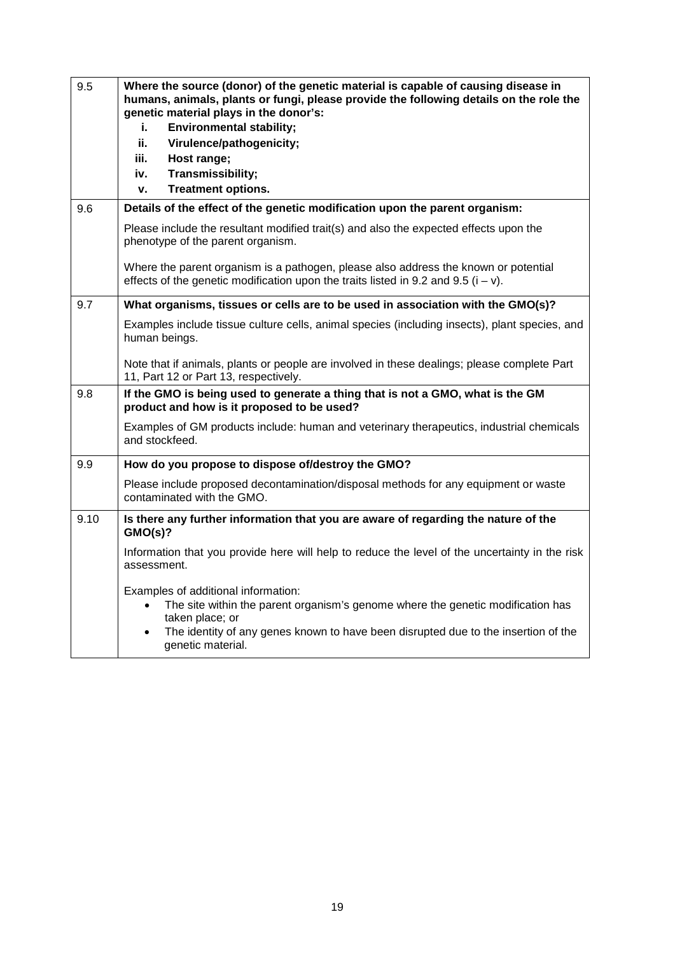| 9.5  | Where the source (donor) of the genetic material is capable of causing disease in<br>humans, animals, plants or fungi, please provide the following details on the role the<br>genetic material plays in the donor's:                                             |  |
|------|-------------------------------------------------------------------------------------------------------------------------------------------------------------------------------------------------------------------------------------------------------------------|--|
|      | i.<br><b>Environmental stability;</b>                                                                                                                                                                                                                             |  |
|      | ii.<br>Virulence/pathogenicity;                                                                                                                                                                                                                                   |  |
|      | iii.<br>Host range;                                                                                                                                                                                                                                               |  |
|      | Transmissibility;<br>iv.                                                                                                                                                                                                                                          |  |
|      | <b>Treatment options.</b><br>ν.                                                                                                                                                                                                                                   |  |
| 9.6  | Details of the effect of the genetic modification upon the parent organism:                                                                                                                                                                                       |  |
|      | Please include the resultant modified trait(s) and also the expected effects upon the<br>phenotype of the parent organism.                                                                                                                                        |  |
|      | Where the parent organism is a pathogen, please also address the known or potential<br>effects of the genetic modification upon the traits listed in 9.2 and 9.5 ( $i - v$ ).                                                                                     |  |
| 9.7  | What organisms, tissues or cells are to be used in association with the GMO(s)?                                                                                                                                                                                   |  |
|      | Examples include tissue culture cells, animal species (including insects), plant species, and<br>human beings.                                                                                                                                                    |  |
|      | Note that if animals, plants or people are involved in these dealings; please complete Part<br>11, Part 12 or Part 13, respectively.                                                                                                                              |  |
| 9.8  | If the GMO is being used to generate a thing that is not a GMO, what is the GM<br>product and how is it proposed to be used?                                                                                                                                      |  |
|      | Examples of GM products include: human and veterinary therapeutics, industrial chemicals<br>and stockfeed.                                                                                                                                                        |  |
| 9.9  | How do you propose to dispose of/destroy the GMO?                                                                                                                                                                                                                 |  |
|      | Please include proposed decontamination/disposal methods for any equipment or waste<br>contaminated with the GMO.                                                                                                                                                 |  |
| 9.10 | Is there any further information that you are aware of regarding the nature of the<br>GMO(s)?                                                                                                                                                                     |  |
|      | Information that you provide here will help to reduce the level of the uncertainty in the risk<br>assessment.                                                                                                                                                     |  |
|      | Examples of additional information:<br>The site within the parent organism's genome where the genetic modification has<br>taken place; or<br>The identity of any genes known to have been disrupted due to the insertion of the<br>$\bullet$<br>genetic material. |  |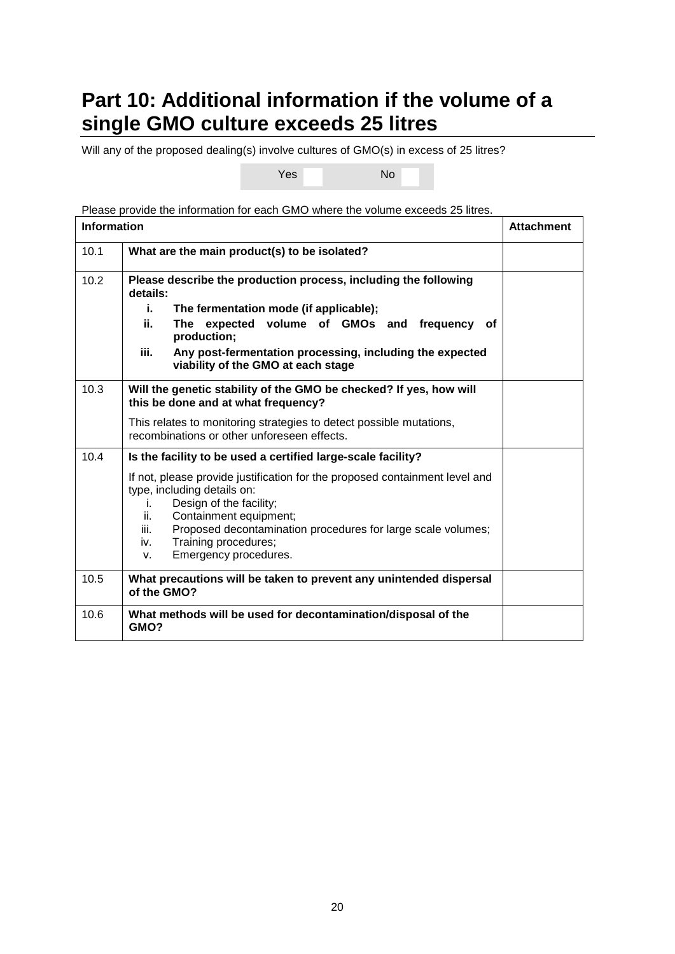# <span id="page-19-0"></span>**Part 10: Additional information if the volume of a single GMO culture exceeds 25 litres**

Will any of the proposed dealing(s) involve cultures of GMO(s) in excess of 25 litres?

Yes No

Please provide the information for each GMO where the volume exceeds 25 litres.

| <b>Information</b> |                                                                                                                                                                              | <b>Attachment</b> |
|--------------------|------------------------------------------------------------------------------------------------------------------------------------------------------------------------------|-------------------|
| 10.1               | What are the main product(s) to be isolated?                                                                                                                                 |                   |
| 10.2               | Please describe the production process, including the following<br>details:                                                                                                  |                   |
|                    | The fermentation mode (if applicable);<br>i.,                                                                                                                                |                   |
|                    | The expected volume of GMOs and frequency<br>ii.<br>оf<br>production;                                                                                                        |                   |
|                    | Any post-fermentation processing, including the expected<br>iii.<br>viability of the GMO at each stage                                                                       |                   |
| 10.3               | Will the genetic stability of the GMO be checked? If yes, how will<br>this be done and at what frequency?                                                                    |                   |
|                    | This relates to monitoring strategies to detect possible mutations,<br>recombinations or other unforeseen effects.                                                           |                   |
| 10.4               | Is the facility to be used a certified large-scale facility?                                                                                                                 |                   |
|                    | If not, please provide justification for the proposed containment level and<br>type, including details on:<br>Design of the facility;<br>İ.<br>Containment equipment;<br>ii. |                   |
|                    | Proposed decontamination procedures for large scale volumes;<br>iii.                                                                                                         |                   |
|                    | Training procedures;<br>iv.<br>Emergency procedures.<br>V.                                                                                                                   |                   |
| 10.5               | What precautions will be taken to prevent any unintended dispersal<br>of the GMO?                                                                                            |                   |
| 10.6               | What methods will be used for decontamination/disposal of the<br>GMO?                                                                                                        |                   |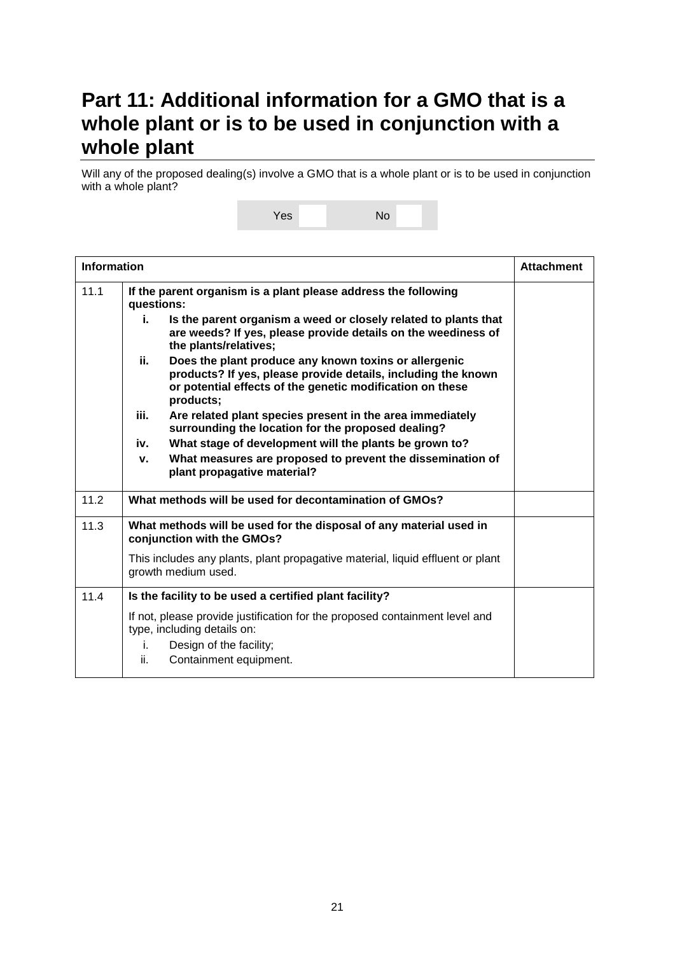### <span id="page-20-0"></span>**Part 11: Additional information for a GMO that is a whole plant or is to be used in conjunction with a whole plant**

Will any of the proposed dealing(s) involve a GMO that is a whole plant or is to be used in conjunction with a whole plant?

Yes No

|      | <b>Information</b>                                                                                                                                                                                      |  |
|------|---------------------------------------------------------------------------------------------------------------------------------------------------------------------------------------------------------|--|
| 11.1 | If the parent organism is a plant please address the following<br>questions:                                                                                                                            |  |
|      | Is the parent organism a weed or closely related to plants that<br>i.<br>are weeds? If yes, please provide details on the weediness of<br>the plants/relatives;                                         |  |
|      | ii.<br>Does the plant produce any known toxins or allergenic<br>products? If yes, please provide details, including the known<br>or potential effects of the genetic modification on these<br>products; |  |
|      | iii.<br>Are related plant species present in the area immediately<br>surrounding the location for the proposed dealing?                                                                                 |  |
|      | What stage of development will the plants be grown to?<br>iv.                                                                                                                                           |  |
|      | What measures are proposed to prevent the dissemination of<br>v.<br>plant propagative material?                                                                                                         |  |
| 11.2 | What methods will be used for decontamination of GMOs?                                                                                                                                                  |  |
| 11.3 | What methods will be used for the disposal of any material used in<br>conjunction with the GMOs?                                                                                                        |  |
|      | This includes any plants, plant propagative material, liquid effluent or plant<br>growth medium used.                                                                                                   |  |
| 11.4 | Is the facility to be used a certified plant facility?                                                                                                                                                  |  |
|      | If not, please provide justification for the proposed containment level and<br>type, including details on:<br>Design of the facility;<br>i.<br>ii.<br>Containment equipment.                            |  |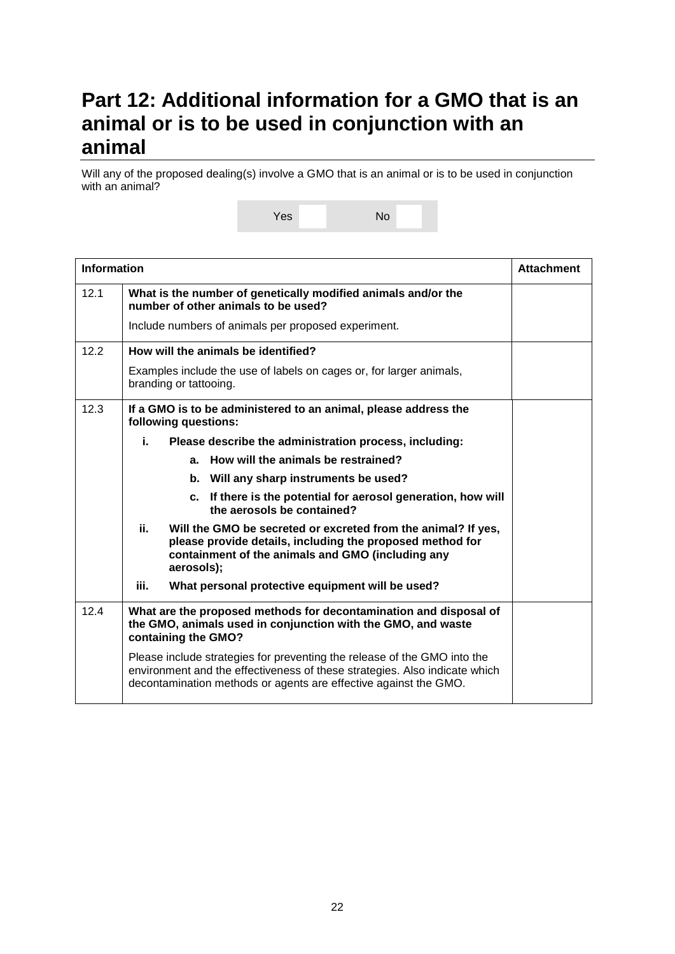### <span id="page-21-0"></span>**Part 12: Additional information for a GMO that is an animal or is to be used in conjunction with an animal**

Will any of the proposed dealing(s) involve a GMO that is an animal or is to be used in conjunction with an animal?

Yes No

|      | <b>Information</b>                                                                                                                                                                                                         |  |
|------|----------------------------------------------------------------------------------------------------------------------------------------------------------------------------------------------------------------------------|--|
| 12.1 | What is the number of genetically modified animals and/or the<br>number of other animals to be used?                                                                                                                       |  |
|      | Include numbers of animals per proposed experiment.                                                                                                                                                                        |  |
| 12.2 | How will the animals be identified?                                                                                                                                                                                        |  |
|      | Examples include the use of labels on cages or, for larger animals,<br>branding or tattooing.                                                                                                                              |  |
| 12.3 | If a GMO is to be administered to an animal, please address the<br>following questions:                                                                                                                                    |  |
|      | i.<br>Please describe the administration process, including:                                                                                                                                                               |  |
|      | a. How will the animals be restrained?                                                                                                                                                                                     |  |
|      | b. Will any sharp instruments be used?                                                                                                                                                                                     |  |
|      | c. If there is the potential for aerosol generation, how will<br>the aerosols be contained?                                                                                                                                |  |
|      | ii.<br>Will the GMO be secreted or excreted from the animal? If yes,<br>please provide details, including the proposed method for<br>containment of the animals and GMO (including any<br>aerosols);                       |  |
|      | iii.<br>What personal protective equipment will be used?                                                                                                                                                                   |  |
| 12.4 | What are the proposed methods for decontamination and disposal of<br>the GMO, animals used in conjunction with the GMO, and waste<br>containing the GMO?                                                                   |  |
|      | Please include strategies for preventing the release of the GMO into the<br>environment and the effectiveness of these strategies. Also indicate which<br>decontamination methods or agents are effective against the GMO. |  |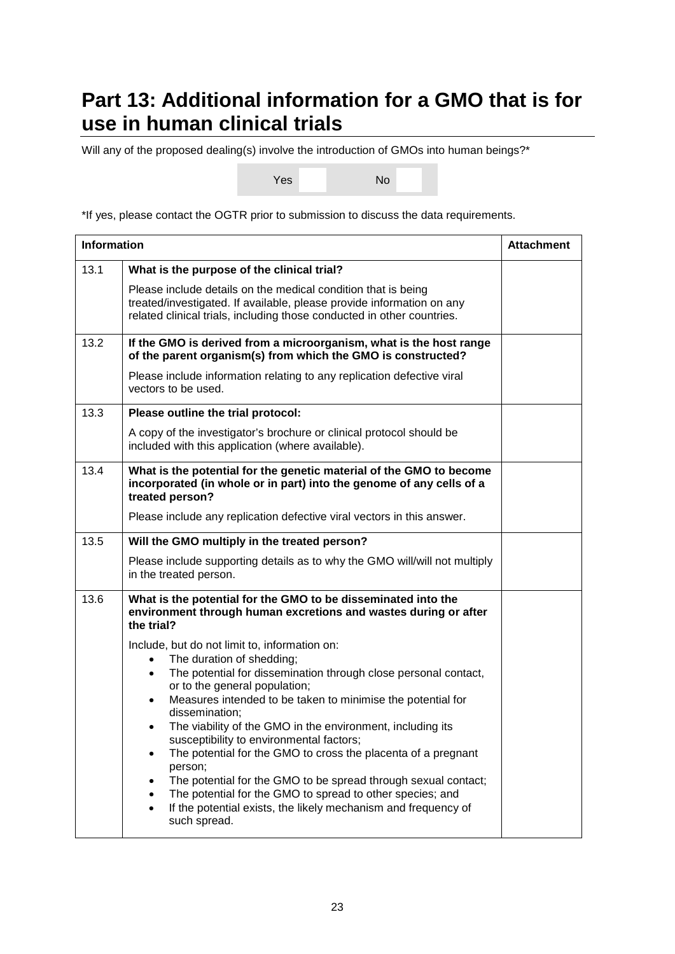# <span id="page-22-0"></span>**Part 13: Additional information for a GMO that is for use in human clinical trials**

Will any of the proposed dealing(s) involve the introduction of GMOs into human beings?\*

Yes No

\*If yes, please contact the OGTR prior to submission to discuss the data requirements.

| <b>Information</b> |                                                                                                                                                                                                                                                                                                                                                                                                                                                                                                                                                                                                                                                                                                                                                                                                                                                                              | <b>Attachment</b> |
|--------------------|------------------------------------------------------------------------------------------------------------------------------------------------------------------------------------------------------------------------------------------------------------------------------------------------------------------------------------------------------------------------------------------------------------------------------------------------------------------------------------------------------------------------------------------------------------------------------------------------------------------------------------------------------------------------------------------------------------------------------------------------------------------------------------------------------------------------------------------------------------------------------|-------------------|
| 13.1               | What is the purpose of the clinical trial?<br>Please include details on the medical condition that is being<br>treated/investigated. If available, please provide information on any<br>related clinical trials, including those conducted in other countries.                                                                                                                                                                                                                                                                                                                                                                                                                                                                                                                                                                                                               |                   |
| 13.2               | If the GMO is derived from a microorganism, what is the host range<br>of the parent organism(s) from which the GMO is constructed?<br>Please include information relating to any replication defective viral<br>vectors to be used.                                                                                                                                                                                                                                                                                                                                                                                                                                                                                                                                                                                                                                          |                   |
| 13.3               | Please outline the trial protocol:<br>A copy of the investigator's brochure or clinical protocol should be<br>included with this application (where available).                                                                                                                                                                                                                                                                                                                                                                                                                                                                                                                                                                                                                                                                                                              |                   |
| 13.4               | What is the potential for the genetic material of the GMO to become<br>incorporated (in whole or in part) into the genome of any cells of a<br>treated person?<br>Please include any replication defective viral vectors in this answer.                                                                                                                                                                                                                                                                                                                                                                                                                                                                                                                                                                                                                                     |                   |
| 13.5               | Will the GMO multiply in the treated person?<br>Please include supporting details as to why the GMO will/will not multiply<br>in the treated person.                                                                                                                                                                                                                                                                                                                                                                                                                                                                                                                                                                                                                                                                                                                         |                   |
| 13.6               | What is the potential for the GMO to be disseminated into the<br>environment through human excretions and wastes during or after<br>the trial?<br>Include, but do not limit to, information on:<br>The duration of shedding;<br>$\bullet$<br>The potential for dissemination through close personal contact,<br>$\bullet$<br>or to the general population;<br>Measures intended to be taken to minimise the potential for<br>$\bullet$<br>dissemination;<br>The viability of the GMO in the environment, including its<br>$\bullet$<br>susceptibility to environmental factors;<br>The potential for the GMO to cross the placenta of a pregnant<br>person;<br>The potential for the GMO to be spread through sexual contact;<br>The potential for the GMO to spread to other species; and<br>If the potential exists, the likely mechanism and frequency of<br>such spread. |                   |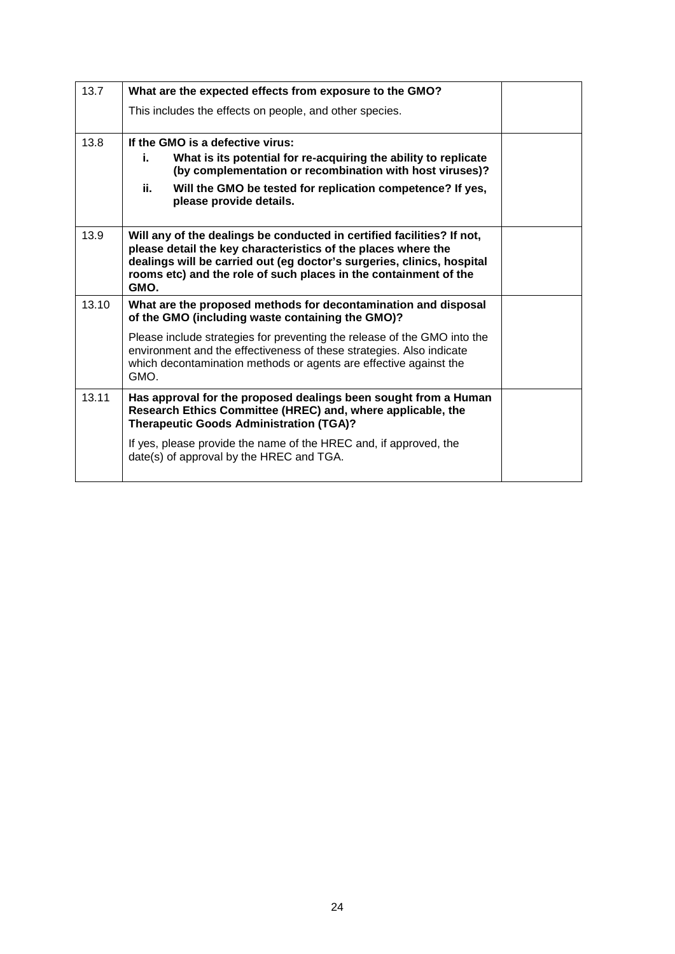| 13.7  | What are the expected effects from exposure to the GMO?                                                                                                                                                                                                                                       |  |
|-------|-----------------------------------------------------------------------------------------------------------------------------------------------------------------------------------------------------------------------------------------------------------------------------------------------|--|
|       | This includes the effects on people, and other species.                                                                                                                                                                                                                                       |  |
| 13.8  | If the GMO is a defective virus:                                                                                                                                                                                                                                                              |  |
|       | What is its potential for re-acquiring the ability to replicate<br>i.<br>(by complementation or recombination with host viruses)?                                                                                                                                                             |  |
|       | ii.<br>Will the GMO be tested for replication competence? If yes,<br>please provide details.                                                                                                                                                                                                  |  |
| 13.9  | Will any of the dealings be conducted in certified facilities? If not,<br>please detail the key characteristics of the places where the<br>dealings will be carried out (eg doctor's surgeries, clinics, hospital<br>rooms etc) and the role of such places in the containment of the<br>GMO. |  |
| 13.10 | What are the proposed methods for decontamination and disposal<br>of the GMO (including waste containing the GMO)?                                                                                                                                                                            |  |
|       | Please include strategies for preventing the release of the GMO into the<br>environment and the effectiveness of these strategies. Also indicate<br>which decontamination methods or agents are effective against the<br>GMO.                                                                 |  |
| 13.11 | Has approval for the proposed dealings been sought from a Human<br>Research Ethics Committee (HREC) and, where applicable, the<br><b>Therapeutic Goods Administration (TGA)?</b>                                                                                                              |  |
|       | If yes, please provide the name of the HREC and, if approved, the<br>date(s) of approval by the HREC and TGA.                                                                                                                                                                                 |  |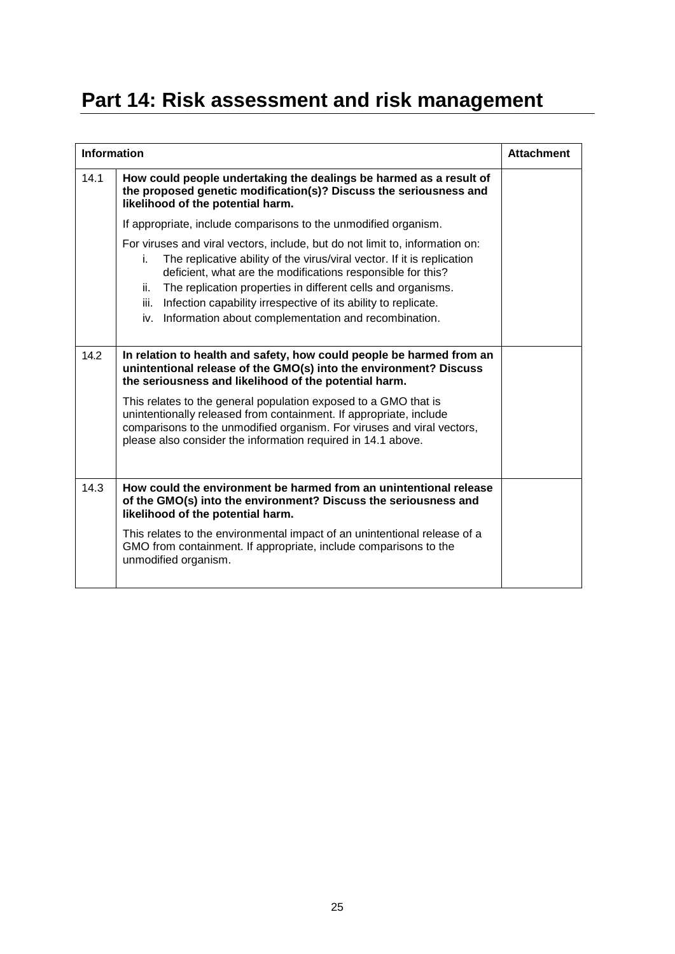# <span id="page-24-0"></span>**Part 14: Risk assessment and risk management**

|      | <b>Information</b>                                                                                                                                                                                                                                                                                                                                                                                                                           |  |
|------|----------------------------------------------------------------------------------------------------------------------------------------------------------------------------------------------------------------------------------------------------------------------------------------------------------------------------------------------------------------------------------------------------------------------------------------------|--|
| 14.1 | How could people undertaking the dealings be harmed as a result of<br>the proposed genetic modification(s)? Discuss the seriousness and<br>likelihood of the potential harm.                                                                                                                                                                                                                                                                 |  |
|      | If appropriate, include comparisons to the unmodified organism.                                                                                                                                                                                                                                                                                                                                                                              |  |
|      | For viruses and viral vectors, include, but do not limit to, information on:<br>The replicative ability of the virus/viral vector. If it is replication<br>i.<br>deficient, what are the modifications responsible for this?<br>The replication properties in different cells and organisms.<br>ii.<br>iii.<br>Infection capability irrespective of its ability to replicate.<br>Information about complementation and recombination.<br>iv. |  |
| 14.2 | In relation to health and safety, how could people be harmed from an<br>unintentional release of the GMO(s) into the environment? Discuss<br>the seriousness and likelihood of the potential harm.                                                                                                                                                                                                                                           |  |
|      | This relates to the general population exposed to a GMO that is<br>unintentionally released from containment. If appropriate, include<br>comparisons to the unmodified organism. For viruses and viral vectors,<br>please also consider the information required in 14.1 above.                                                                                                                                                              |  |
| 14.3 | How could the environment be harmed from an unintentional release<br>of the GMO(s) into the environment? Discuss the seriousness and<br>likelihood of the potential harm.                                                                                                                                                                                                                                                                    |  |
|      | This relates to the environmental impact of an unintentional release of a<br>GMO from containment. If appropriate, include comparisons to the<br>unmodified organism.                                                                                                                                                                                                                                                                        |  |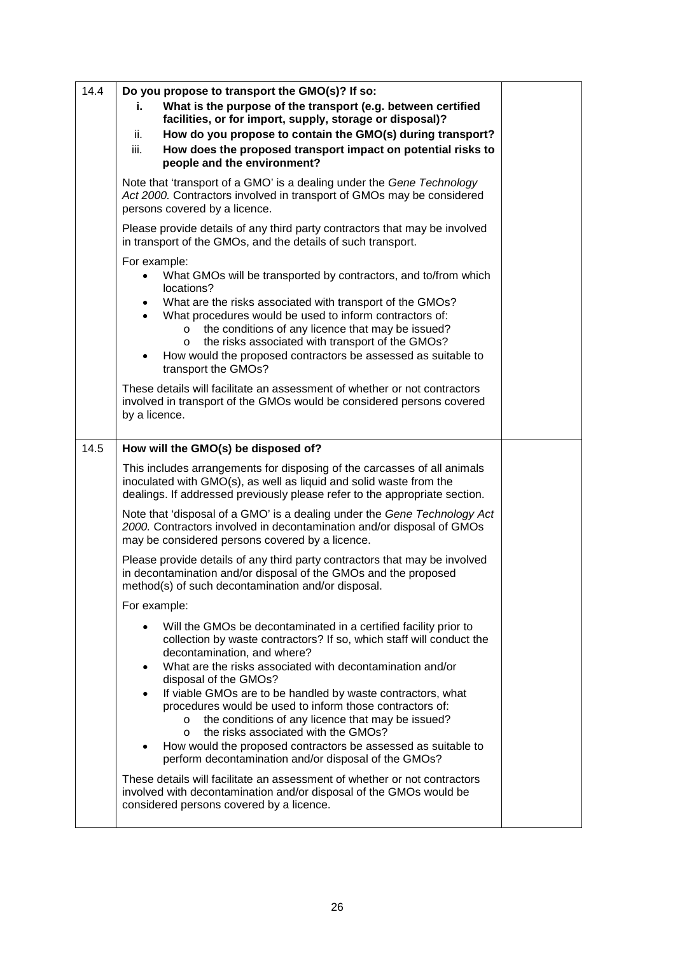| 14.4 | Do you propose to transport the GMO(s)? If so:                                                                                                                                                                                                                                                                                                                                                                                                                              |  |
|------|-----------------------------------------------------------------------------------------------------------------------------------------------------------------------------------------------------------------------------------------------------------------------------------------------------------------------------------------------------------------------------------------------------------------------------------------------------------------------------|--|
|      | What is the purpose of the transport (e.g. between certified<br>i.<br>facilities, or for import, supply, storage or disposal)?                                                                                                                                                                                                                                                                                                                                              |  |
|      | How do you propose to contain the GMO(s) during transport?<br>ii.                                                                                                                                                                                                                                                                                                                                                                                                           |  |
|      | How does the proposed transport impact on potential risks to<br>iii.<br>people and the environment?                                                                                                                                                                                                                                                                                                                                                                         |  |
|      | Note that 'transport of a GMO' is a dealing under the Gene Technology<br>Act 2000. Contractors involved in transport of GMOs may be considered<br>persons covered by a licence.                                                                                                                                                                                                                                                                                             |  |
|      | Please provide details of any third party contractors that may be involved<br>in transport of the GMOs, and the details of such transport.                                                                                                                                                                                                                                                                                                                                  |  |
|      | For example:<br>What GMOs will be transported by contractors, and to/from which<br>locations?<br>What are the risks associated with transport of the GMOs?<br>٠<br>What procedures would be used to inform contractors of:<br>$\bullet$<br>the conditions of any licence that may be issued?<br>$\circ$<br>the risks associated with transport of the GMOs?<br>$\circ$<br>How would the proposed contractors be assessed as suitable to<br>$\bullet$<br>transport the GMOs? |  |
|      | These details will facilitate an assessment of whether or not contractors<br>involved in transport of the GMOs would be considered persons covered<br>by a licence.                                                                                                                                                                                                                                                                                                         |  |
| 14.5 | How will the GMO(s) be disposed of?                                                                                                                                                                                                                                                                                                                                                                                                                                         |  |
|      | This includes arrangements for disposing of the carcasses of all animals<br>inoculated with GMO(s), as well as liquid and solid waste from the<br>dealings. If addressed previously please refer to the appropriate section.                                                                                                                                                                                                                                                |  |
|      | Note that 'disposal of a GMO' is a dealing under the Gene Technology Act<br>2000. Contractors involved in decontamination and/or disposal of GMOs<br>may be considered persons covered by a licence.                                                                                                                                                                                                                                                                        |  |
|      | Please provide details of any third party contractors that may be involved<br>in decontamination and/or disposal of the GMOs and the proposed<br>method(s) of such decontamination and/or disposal.                                                                                                                                                                                                                                                                         |  |
|      | For example:                                                                                                                                                                                                                                                                                                                                                                                                                                                                |  |
|      | Will the GMOs be decontaminated in a certified facility prior to<br>collection by waste contractors? If so, which staff will conduct the<br>decontamination, and where?<br>What are the risks associated with decontamination and/or<br>$\bullet$<br>disposal of the GMOs?<br>If viable GMOs are to be handled by waste contractors, what<br>$\bullet$                                                                                                                      |  |
|      | procedures would be used to inform those contractors of:<br>the conditions of any licence that may be issued?<br>$\circ$<br>the risks associated with the GMOs?<br>$\circ$<br>How would the proposed contractors be assessed as suitable to<br>perform decontamination and/or disposal of the GMOs?                                                                                                                                                                         |  |
|      | These details will facilitate an assessment of whether or not contractors<br>involved with decontamination and/or disposal of the GMOs would be<br>considered persons covered by a licence.                                                                                                                                                                                                                                                                                 |  |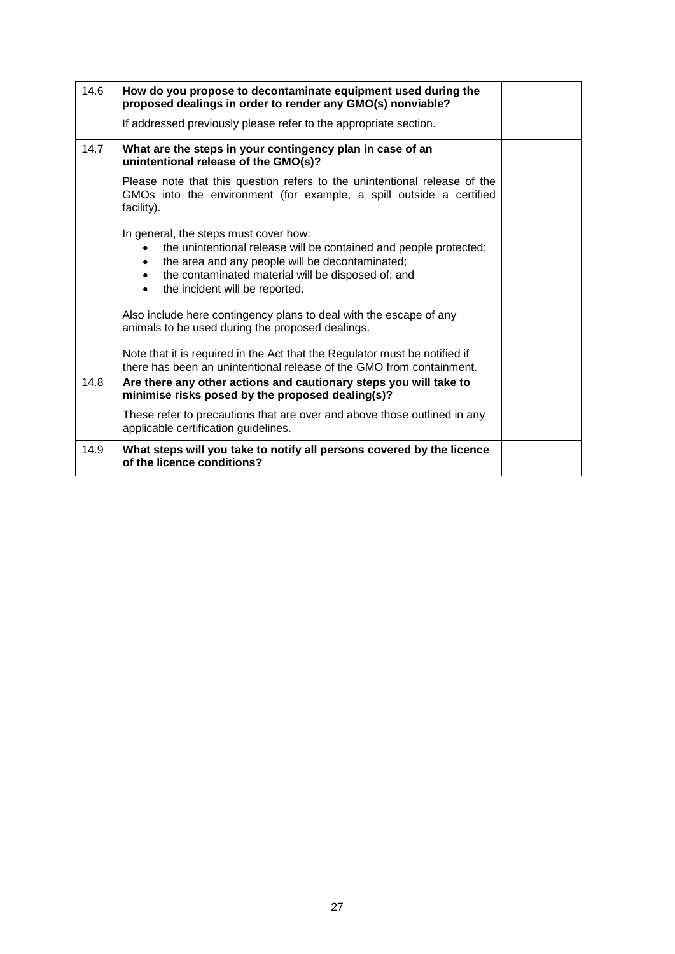| 14.6 | How do you propose to decontaminate equipment used during the<br>proposed dealings in order to render any GMO(s) nonviable?                                                                                                                                                                               |  |
|------|-----------------------------------------------------------------------------------------------------------------------------------------------------------------------------------------------------------------------------------------------------------------------------------------------------------|--|
|      | If addressed previously please refer to the appropriate section.                                                                                                                                                                                                                                          |  |
| 14.7 | What are the steps in your contingency plan in case of an<br>unintentional release of the GMO(s)?                                                                                                                                                                                                         |  |
|      | Please note that this question refers to the unintentional release of the<br>GMOs into the environment (for example, a spill outside a certified<br>facility).                                                                                                                                            |  |
|      | In general, the steps must cover how:<br>the unintentional release will be contained and people protected;<br>$\bullet$<br>the area and any people will be decontaminated;<br>$\bullet$<br>the contaminated material will be disposed of; and<br>$\bullet$<br>the incident will be reported.<br>$\bullet$ |  |
|      | Also include here contingency plans to deal with the escape of any<br>animals to be used during the proposed dealings.                                                                                                                                                                                    |  |
|      | Note that it is required in the Act that the Regulator must be notified if<br>there has been an unintentional release of the GMO from containment.                                                                                                                                                        |  |
| 14.8 | Are there any other actions and cautionary steps you will take to<br>minimise risks posed by the proposed dealing(s)?                                                                                                                                                                                     |  |
|      | These refer to precautions that are over and above those outlined in any<br>applicable certification guidelines.                                                                                                                                                                                          |  |
| 14.9 | What steps will you take to notify all persons covered by the licence<br>of the licence conditions?                                                                                                                                                                                                       |  |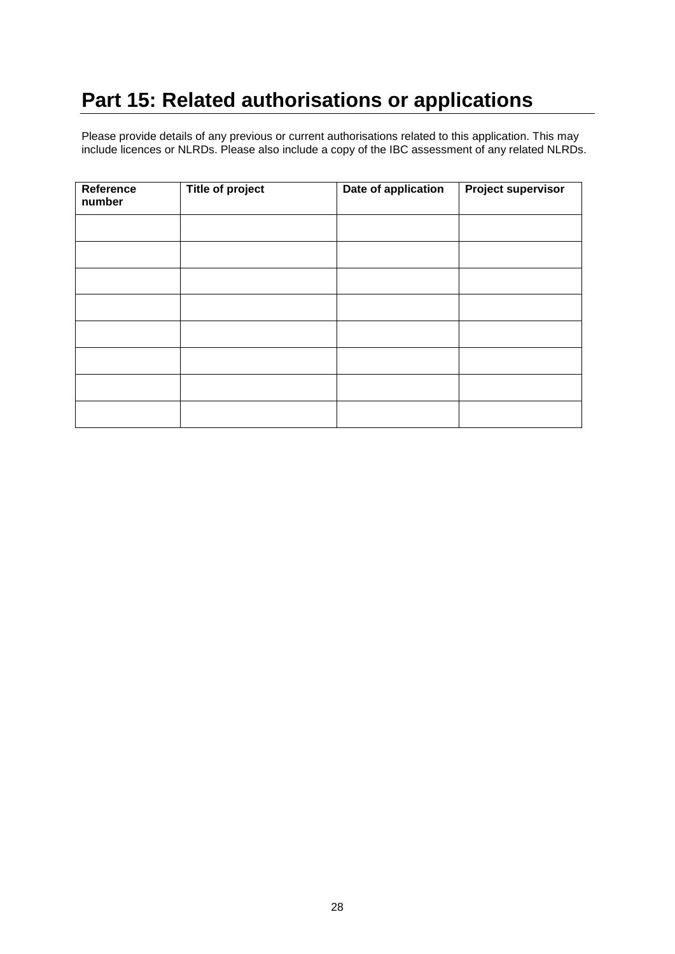# <span id="page-27-0"></span>**Part 15: Related authorisations or applications**

Please provide details of any previous or current authorisations related to this application. This may include licences or NLRDs. Please also include a copy of the IBC assessment of any related NLRDs.

| Reference<br>number | <b>Title of project</b> | Date of application | <b>Project supervisor</b> |
|---------------------|-------------------------|---------------------|---------------------------|
|                     |                         |                     |                           |
|                     |                         |                     |                           |
|                     |                         |                     |                           |
|                     |                         |                     |                           |
|                     |                         |                     |                           |
|                     |                         |                     |                           |
|                     |                         |                     |                           |
|                     |                         |                     |                           |